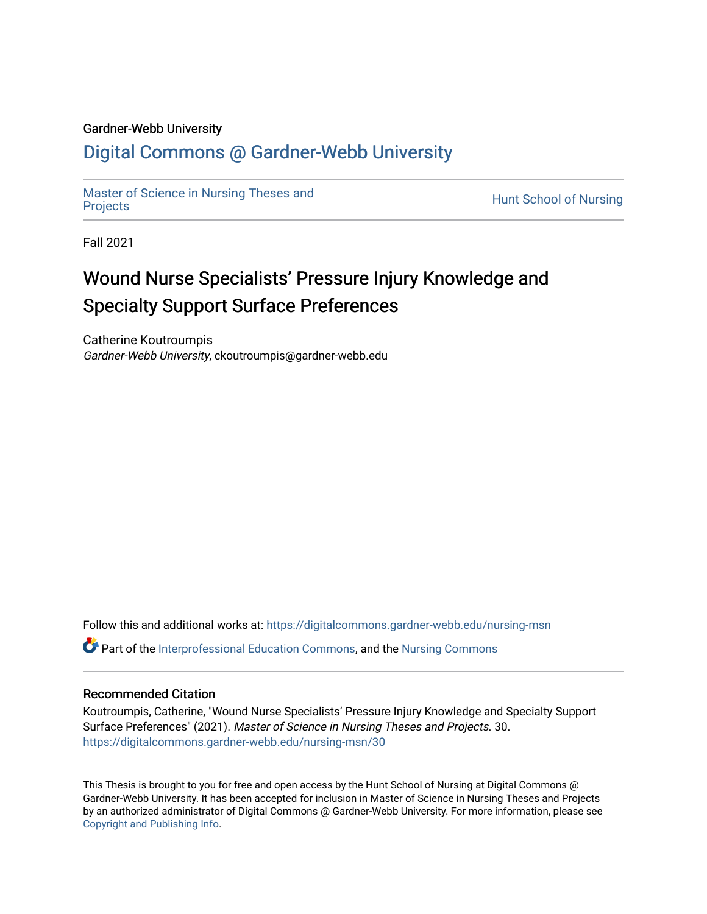#### Gardner-Webb University

## [Digital Commons @ Gardner-Webb University](https://digitalcommons.gardner-webb.edu/)

[Master of Science in Nursing Theses and](https://digitalcommons.gardner-webb.edu/nursing-msn) [Projects](https://digitalcommons.gardner-webb.edu/nursing-msn) **Exercise In Nursing Theses and**<br>Projects

Fall 2021

# Wound Nurse Specialists' Pressure Injury Knowledge and Specialty Support Surface Preferences

Catherine Koutroumpis Gardner-Webb University, ckoutroumpis@gardner-webb.edu

Follow this and additional works at: [https://digitalcommons.gardner-webb.edu/nursing-msn](https://digitalcommons.gardner-webb.edu/nursing-msn?utm_source=digitalcommons.gardner-webb.edu%2Fnursing-msn%2F30&utm_medium=PDF&utm_campaign=PDFCoverPages)

Part of the [Interprofessional Education Commons,](http://network.bepress.com/hgg/discipline/1372?utm_source=digitalcommons.gardner-webb.edu%2Fnursing-msn%2F30&utm_medium=PDF&utm_campaign=PDFCoverPages) and the [Nursing Commons](http://network.bepress.com/hgg/discipline/718?utm_source=digitalcommons.gardner-webb.edu%2Fnursing-msn%2F30&utm_medium=PDF&utm_campaign=PDFCoverPages)

#### Recommended Citation

Koutroumpis, Catherine, "Wound Nurse Specialists' Pressure Injury Knowledge and Specialty Support Surface Preferences" (2021). Master of Science in Nursing Theses and Projects. 30. [https://digitalcommons.gardner-webb.edu/nursing-msn/30](https://digitalcommons.gardner-webb.edu/nursing-msn/30?utm_source=digitalcommons.gardner-webb.edu%2Fnursing-msn%2F30&utm_medium=PDF&utm_campaign=PDFCoverPages) 

This Thesis is brought to you for free and open access by the Hunt School of Nursing at Digital Commons @ Gardner-Webb University. It has been accepted for inclusion in Master of Science in Nursing Theses and Projects by an authorized administrator of Digital Commons @ Gardner-Webb University. For more information, please see [Copyright and Publishing Info.](https://digitalcommons.gardner-webb.edu/copyright_publishing.html)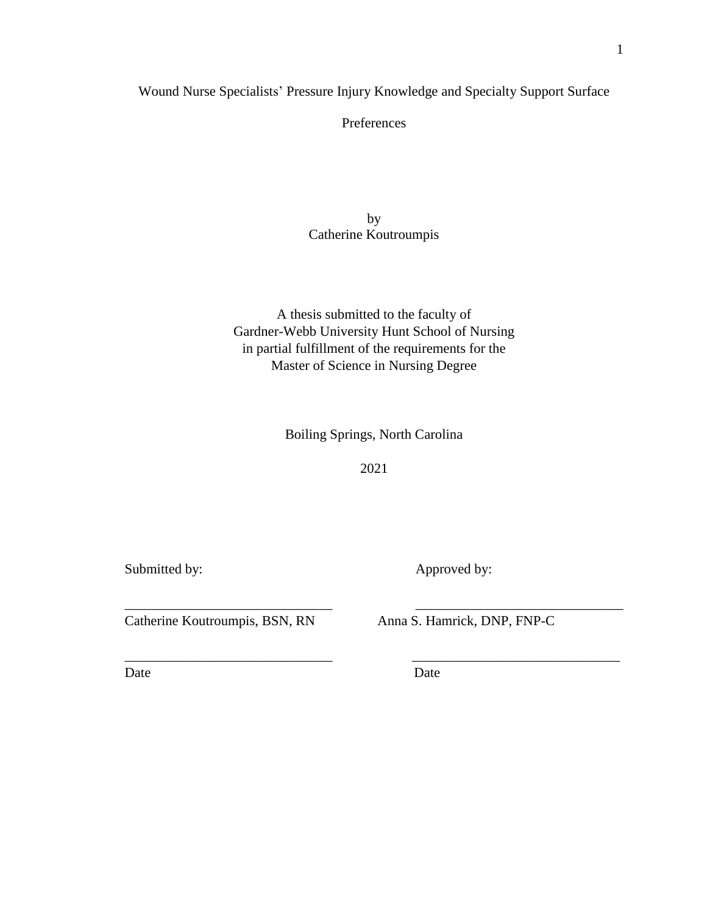Wound Nurse Specialists' Pressure Injury Knowledge and Specialty Support Surface

Preferences

by Catherine Koutroumpis

A thesis submitted to the faculty of Gardner-Webb University Hunt School of Nursing in partial fulfillment of the requirements for the Master of Science in Nursing Degree

Boiling Springs, North Carolina

2021

\_\_\_\_\_\_\_\_\_\_\_\_\_\_\_\_\_\_\_\_\_\_\_\_\_\_\_\_\_\_ \_\_\_\_\_\_\_\_\_\_\_\_\_\_\_\_\_\_\_\_\_\_\_\_\_\_\_\_\_\_

\_\_\_\_\_\_\_\_\_\_\_\_\_\_\_\_\_\_\_\_\_\_\_\_\_\_\_\_\_\_ \_\_\_\_\_\_\_\_\_\_\_\_\_\_\_\_\_\_\_\_\_\_\_\_\_\_\_\_\_\_

Submitted by: Approved by:

Catherine Koutroumpis, BSN, RN Anna S. Hamrick, DNP, FNP-C

Date Date Date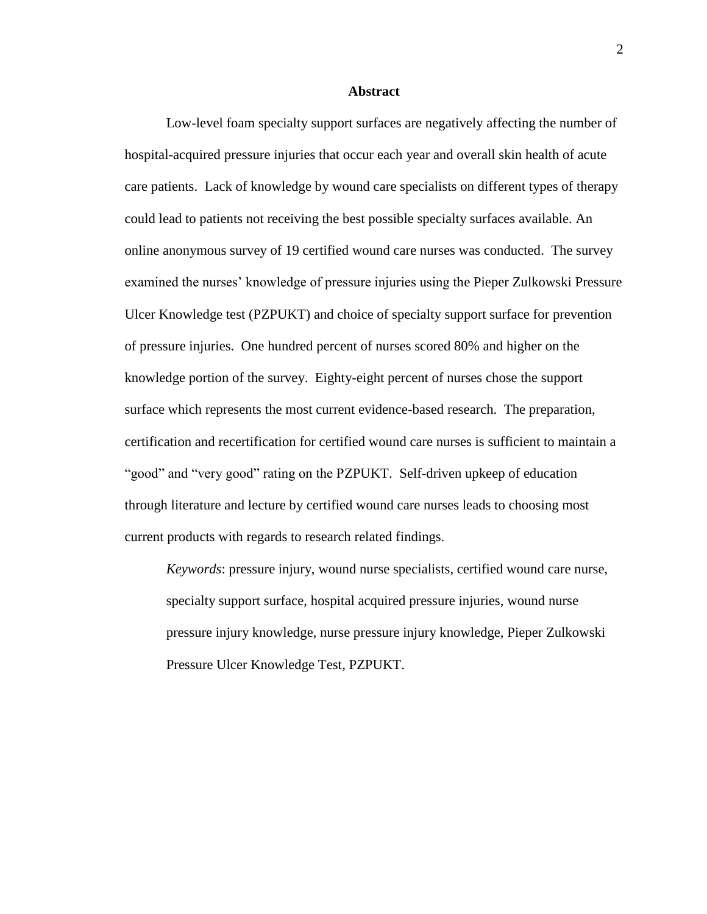#### **Abstract**

Low-level foam specialty support surfaces are negatively affecting the number of hospital-acquired pressure injuries that occur each year and overall skin health of acute care patients. Lack of knowledge by wound care specialists on different types of therapy could lead to patients not receiving the best possible specialty surfaces available. An online anonymous survey of 19 certified wound care nurses was conducted. The survey examined the nurses' knowledge of pressure injuries using the Pieper Zulkowski Pressure Ulcer Knowledge test (PZPUKT) and choice of specialty support surface for prevention of pressure injuries. One hundred percent of nurses scored 80% and higher on the knowledge portion of the survey. Eighty-eight percent of nurses chose the support surface which represents the most current evidence-based research. The preparation, certification and recertification for certified wound care nurses is sufficient to maintain a "good" and "very good" rating on the PZPUKT. Self-driven upkeep of education through literature and lecture by certified wound care nurses leads to choosing most current products with regards to research related findings.

*Keywords*: pressure injury, wound nurse specialists, certified wound care nurse, specialty support surface, hospital acquired pressure injuries, wound nurse pressure injury knowledge, nurse pressure injury knowledge, Pieper Zulkowski Pressure Ulcer Knowledge Test, PZPUKT.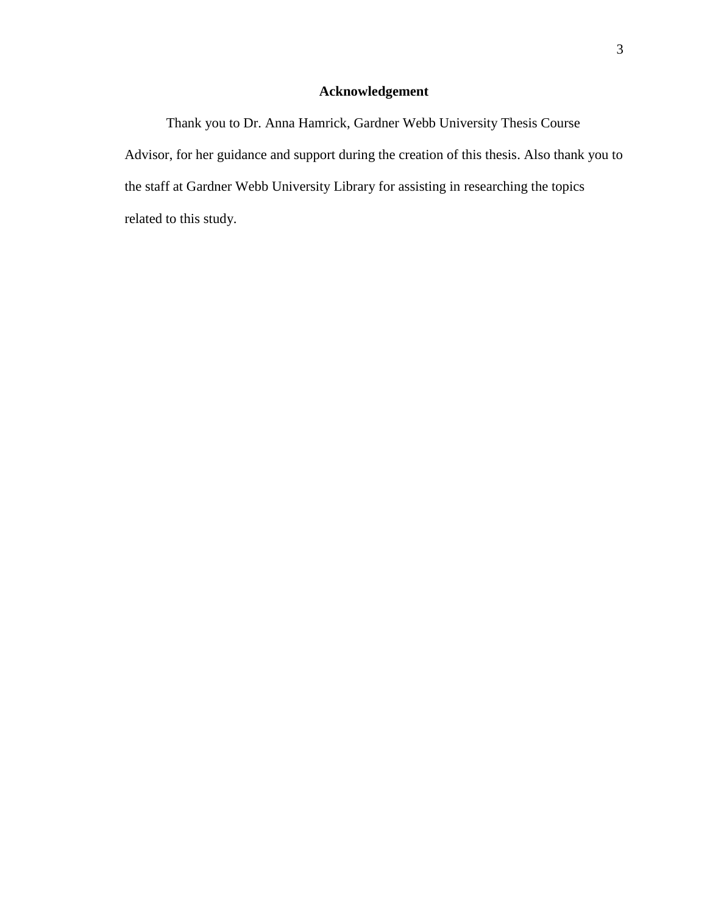### **Acknowledgement**

Thank you to Dr. Anna Hamrick, Gardner Webb University Thesis Course Advisor, for her guidance and support during the creation of this thesis. Also thank you to the staff at Gardner Webb University Library for assisting in researching the topics related to this study.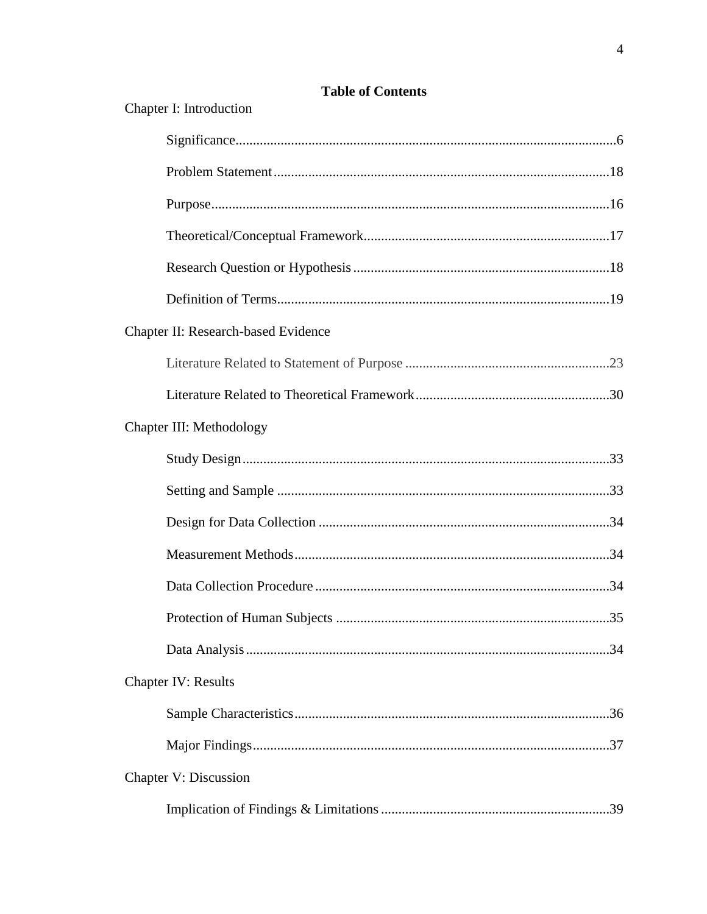| Chapter I: Introduction             |     |
|-------------------------------------|-----|
|                                     |     |
|                                     |     |
|                                     |     |
|                                     |     |
|                                     |     |
|                                     |     |
| Chapter II: Research-based Evidence |     |
|                                     |     |
|                                     |     |
| Chapter III: Methodology            |     |
|                                     |     |
|                                     |     |
|                                     |     |
|                                     |     |
|                                     |     |
| Protection of Human Subjects        | .35 |
|                                     |     |
| <b>Chapter IV: Results</b>          |     |
|                                     |     |
|                                     |     |
| Chapter V: Discussion               |     |
|                                     |     |

## **Table of Contents**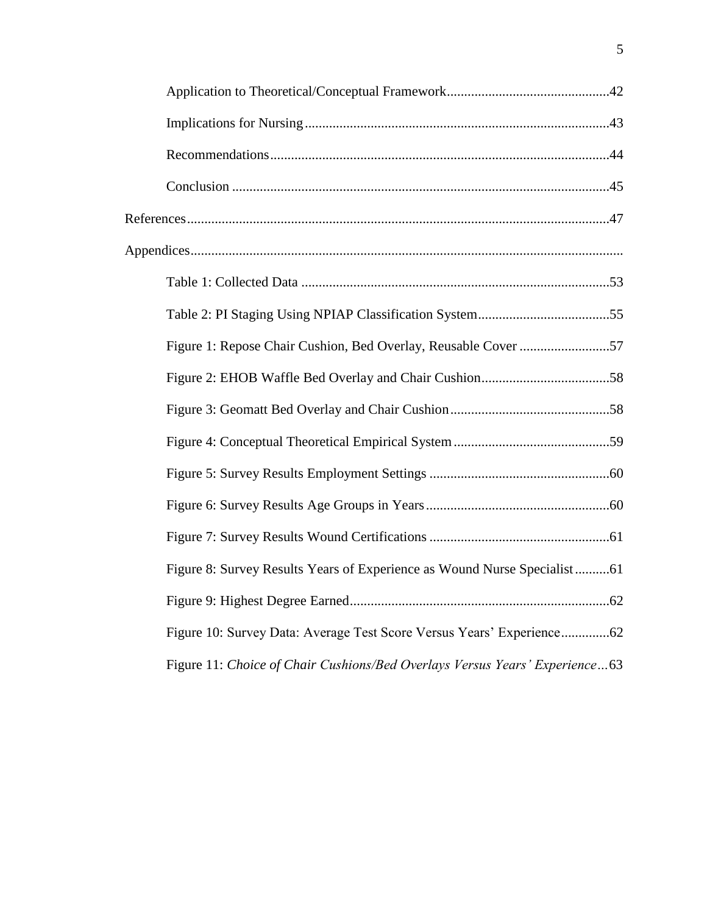| Figure 8: Survey Results Years of Experience as Wound Nurse Specialist61    |
|-----------------------------------------------------------------------------|
|                                                                             |
| Figure 10: Survey Data: Average Test Score Versus Years' Experience62       |
| Figure 11: Choice of Chair Cushions/Bed Overlays Versus Years' Experience63 |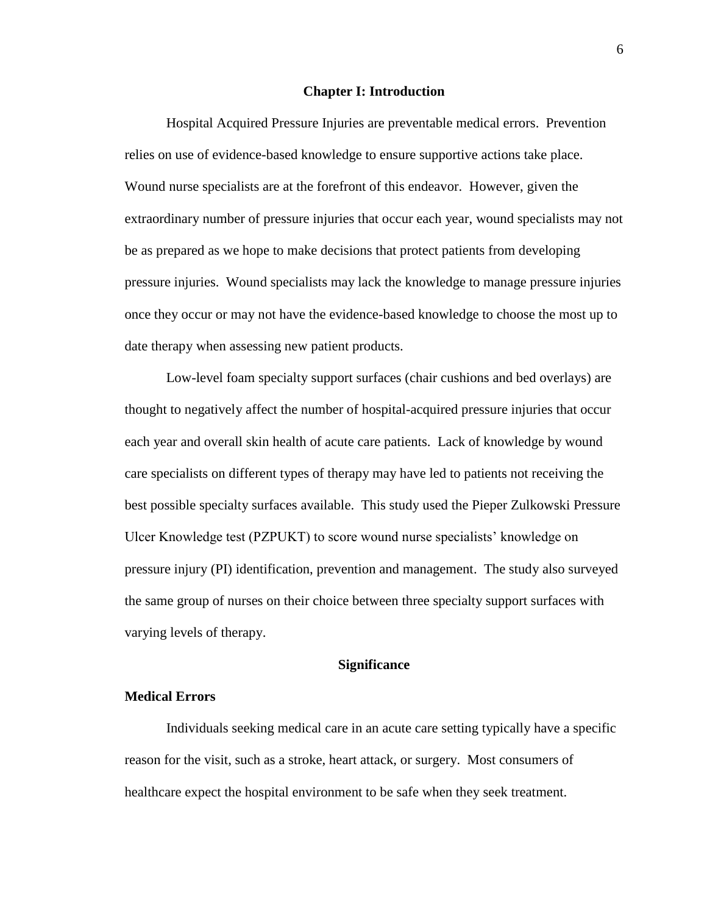#### **Chapter I: Introduction**

Hospital Acquired Pressure Injuries are preventable medical errors. Prevention relies on use of evidence-based knowledge to ensure supportive actions take place. Wound nurse specialists are at the forefront of this endeavor. However, given the extraordinary number of pressure injuries that occur each year, wound specialists may not be as prepared as we hope to make decisions that protect patients from developing pressure injuries. Wound specialists may lack the knowledge to manage pressure injuries once they occur or may not have the evidence-based knowledge to choose the most up to date therapy when assessing new patient products.

Low-level foam specialty support surfaces (chair cushions and bed overlays) are thought to negatively affect the number of hospital-acquired pressure injuries that occur each year and overall skin health of acute care patients. Lack of knowledge by wound care specialists on different types of therapy may have led to patients not receiving the best possible specialty surfaces available. This study used the Pieper Zulkowski Pressure Ulcer Knowledge test (PZPUKT) to score wound nurse specialists' knowledge on pressure injury (PI) identification, prevention and management. The study also surveyed the same group of nurses on their choice between three specialty support surfaces with varying levels of therapy.

#### **Significance**

#### **Medical Errors**

Individuals seeking medical care in an acute care setting typically have a specific reason for the visit, such as a stroke, heart attack, or surgery. Most consumers of healthcare expect the hospital environment to be safe when they seek treatment.

6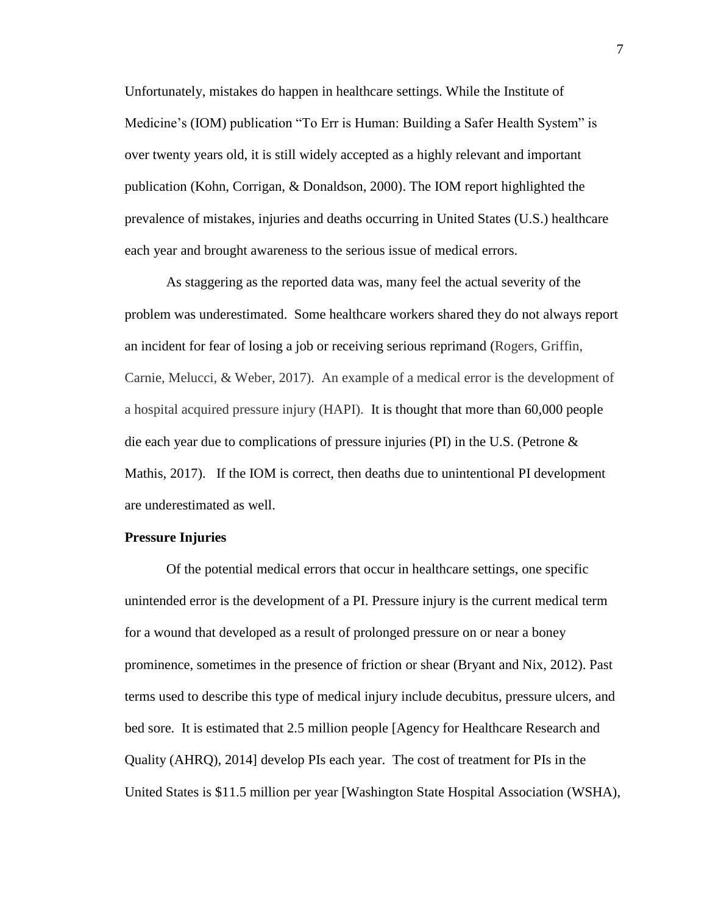Unfortunately, mistakes do happen in healthcare settings. While the Institute of Medicine's (IOM) publication "To Err is Human: Building a Safer Health System" is over twenty years old, it is still widely accepted as a highly relevant and important publication (Kohn, Corrigan, & Donaldson, 2000). The IOM report highlighted the prevalence of mistakes, injuries and deaths occurring in United States (U.S.) healthcare each year and brought awareness to the serious issue of medical errors.

As staggering as the reported data was, many feel the actual severity of the problem was underestimated. Some healthcare workers shared they do not always report an incident for fear of losing a job or receiving serious reprimand (Rogers, Griffin, Carnie, Melucci, & Weber, 2017). An example of a medical error is the development of a hospital acquired pressure injury (HAPI). It is thought that more than 60,000 people die each year due to complications of pressure injuries (PI) in the U.S. (Petrone & Mathis, 2017). If the IOM is correct, then deaths due to unintentional PI development are underestimated as well.

#### **Pressure Injuries**

Of the potential medical errors that occur in healthcare settings, one specific unintended error is the development of a PI. Pressure injury is the current medical term for a wound that developed as a result of prolonged pressure on or near a boney prominence, sometimes in the presence of friction or shear (Bryant and Nix, 2012). Past terms used to describe this type of medical injury include decubitus, pressure ulcers, and bed sore. It is estimated that 2.5 million people [Agency for Healthcare Research and Quality (AHRQ), 2014] develop PIs each year. The cost of treatment for PIs in the United States is \$11.5 million per year [Washington State Hospital Association (WSHA),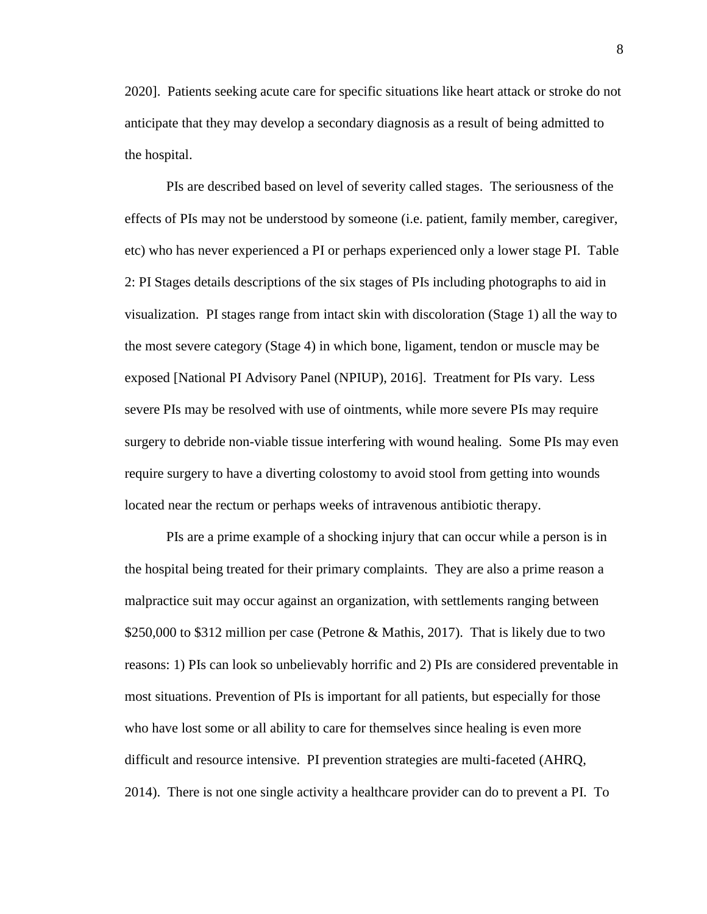2020]. Patients seeking acute care for specific situations like heart attack or stroke do not anticipate that they may develop a secondary diagnosis as a result of being admitted to the hospital.

PIs are described based on level of severity called stages. The seriousness of the effects of PIs may not be understood by someone (i.e. patient, family member, caregiver, etc) who has never experienced a PI or perhaps experienced only a lower stage PI. Table 2: PI Stages details descriptions of the six stages of PIs including photographs to aid in visualization. PI stages range from intact skin with discoloration (Stage 1) all the way to the most severe category (Stage 4) in which bone, ligament, tendon or muscle may be exposed [National PI Advisory Panel (NPIUP), 2016]. Treatment for PIs vary. Less severe PIs may be resolved with use of ointments, while more severe PIs may require surgery to debride non-viable tissue interfering with wound healing. Some PIs may even require surgery to have a diverting colostomy to avoid stool from getting into wounds located near the rectum or perhaps weeks of intravenous antibiotic therapy.

PIs are a prime example of a shocking injury that can occur while a person is in the hospital being treated for their primary complaints. They are also a prime reason a malpractice suit may occur against an organization, with settlements ranging between \$250,000 to \$312 million per case (Petrone & Mathis, 2017). That is likely due to two reasons: 1) PIs can look so unbelievably horrific and 2) PIs are considered preventable in most situations. Prevention of PIs is important for all patients, but especially for those who have lost some or all ability to care for themselves since healing is even more difficult and resource intensive. PI prevention strategies are multi-faceted (AHRQ, 2014). There is not one single activity a healthcare provider can do to prevent a PI. To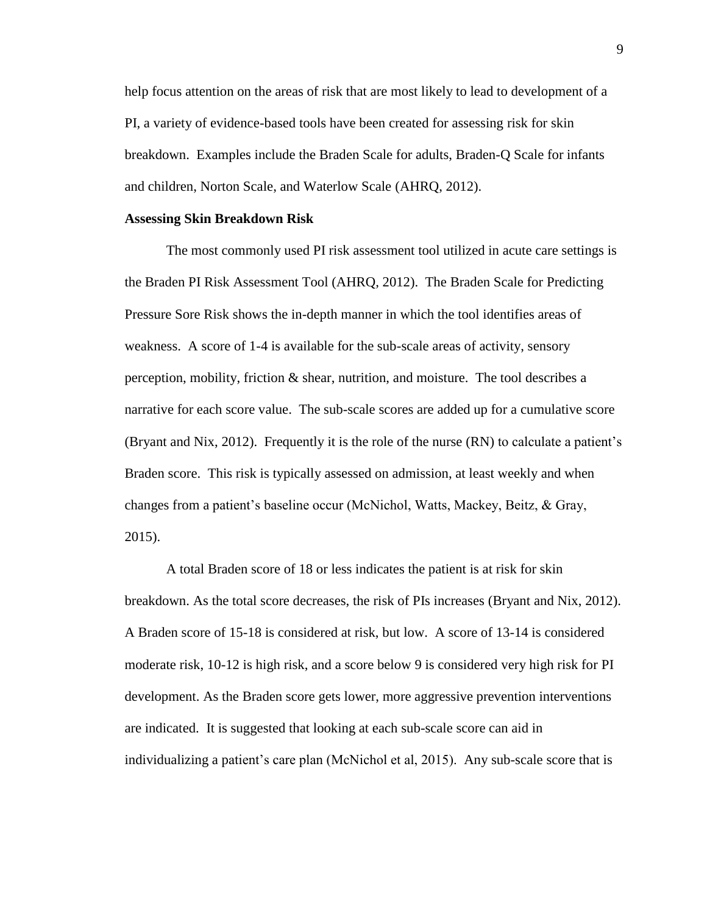help focus attention on the areas of risk that are most likely to lead to development of a PI, a variety of evidence-based tools have been created for assessing risk for skin breakdown. Examples include the Braden Scale for adults, Braden-Q Scale for infants and children, Norton Scale, and Waterlow Scale (AHRQ, 2012).

#### **Assessing Skin Breakdown Risk**

The most commonly used PI risk assessment tool utilized in acute care settings is the Braden PI Risk Assessment Tool (AHRQ, 2012). The Braden Scale for Predicting Pressure Sore Risk shows the in-depth manner in which the tool identifies areas of weakness. A score of 1-4 is available for the sub-scale areas of activity, sensory perception, mobility, friction & shear, nutrition, and moisture. The tool describes a narrative for each score value. The sub-scale scores are added up for a cumulative score (Bryant and Nix, 2012). Frequently it is the role of the nurse (RN) to calculate a patient's Braden score. This risk is typically assessed on admission, at least weekly and when changes from a patient's baseline occur (McNichol, Watts, Mackey, Beitz, & Gray, 2015).

A total Braden score of 18 or less indicates the patient is at risk for skin breakdown. As the total score decreases, the risk of PIs increases (Bryant and Nix, 2012). A Braden score of 15-18 is considered at risk, but low. A score of 13-14 is considered moderate risk, 10-12 is high risk, and a score below 9 is considered very high risk for PI development. As the Braden score gets lower, more aggressive prevention interventions are indicated. It is suggested that looking at each sub-scale score can aid in individualizing a patient's care plan (McNichol et al, 2015). Any sub-scale score that is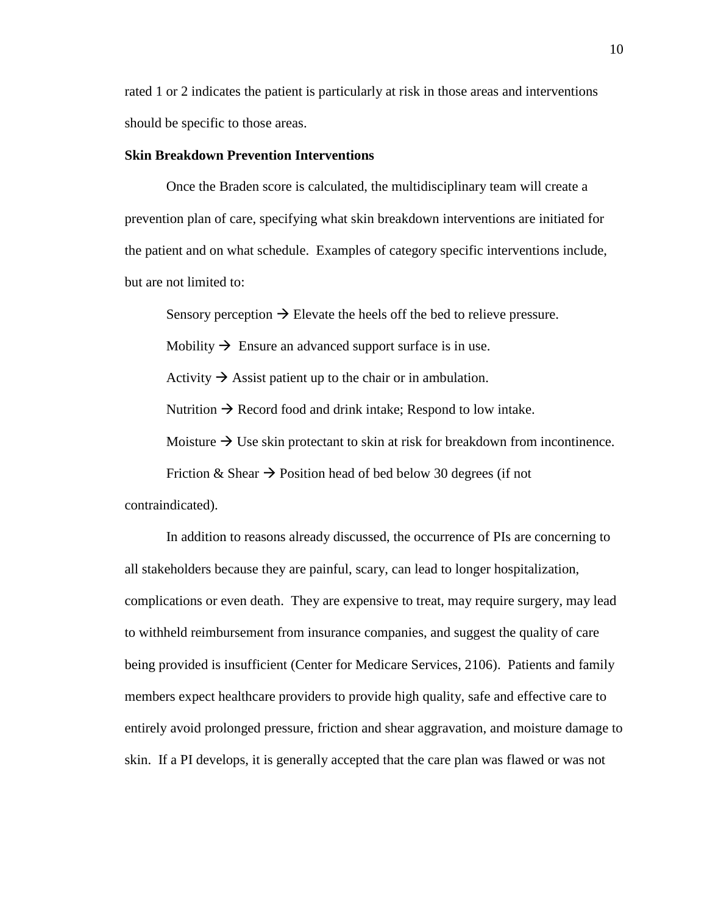rated 1 or 2 indicates the patient is particularly at risk in those areas and interventions should be specific to those areas.

#### **Skin Breakdown Prevention Interventions**

Once the Braden score is calculated, the multidisciplinary team will create a prevention plan of care, specifying what skin breakdown interventions are initiated for the patient and on what schedule. Examples of category specific interventions include, but are not limited to:

Sensory perception  $\rightarrow$  Elevate the heels off the bed to relieve pressure.

Mobility  $\rightarrow$  Ensure an advanced support surface is in use.

Activity  $\rightarrow$  Assist patient up to the chair or in ambulation.

Nutrition  $\rightarrow$  Record food and drink intake; Respond to low intake.

Moisture  $\rightarrow$  Use skin protectant to skin at risk for breakdown from incontinence.

Friction & Shear  $\rightarrow$  Position head of bed below 30 degrees (if not

contraindicated).

In addition to reasons already discussed, the occurrence of PIs are concerning to all stakeholders because they are painful, scary, can lead to longer hospitalization, complications or even death. They are expensive to treat, may require surgery, may lead to withheld reimbursement from insurance companies, and suggest the quality of care being provided is insufficient (Center for Medicare Services, 2106). Patients and family members expect healthcare providers to provide high quality, safe and effective care to entirely avoid prolonged pressure, friction and shear aggravation, and moisture damage to skin. If a PI develops, it is generally accepted that the care plan was flawed or was not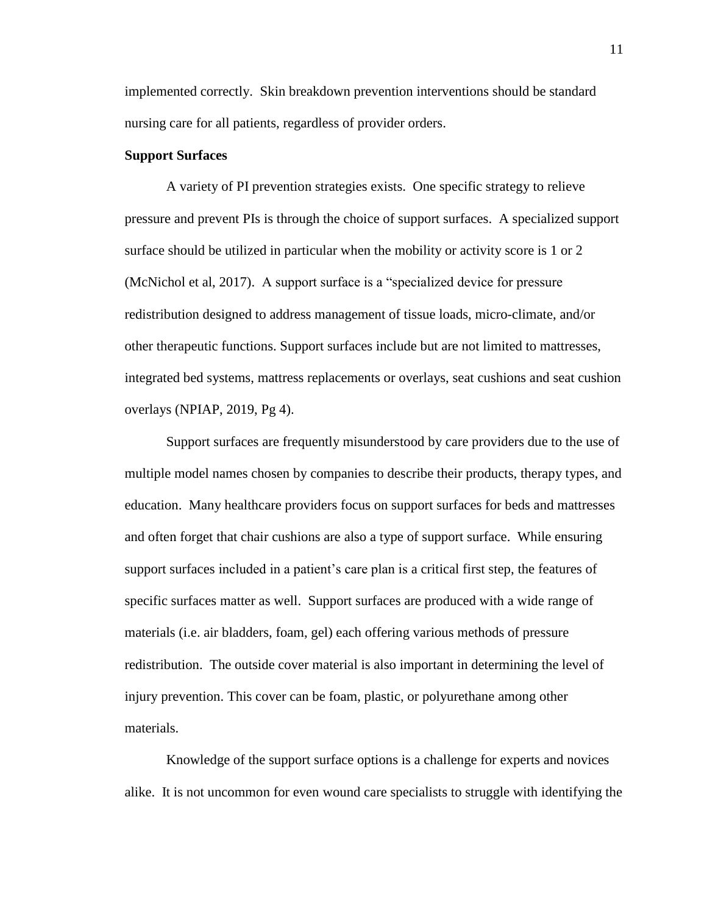implemented correctly. Skin breakdown prevention interventions should be standard nursing care for all patients, regardless of provider orders.

#### **Support Surfaces**

A variety of PI prevention strategies exists. One specific strategy to relieve pressure and prevent PIs is through the choice of support surfaces. A specialized support surface should be utilized in particular when the mobility or activity score is 1 or 2 (McNichol et al, 2017). A support surface is a "specialized device for pressure redistribution designed to address management of tissue loads, micro-climate, and/or other therapeutic functions. Support surfaces include but are not limited to mattresses, integrated bed systems, mattress replacements or overlays, seat cushions and seat cushion overlays (NPIAP, 2019, Pg 4).

Support surfaces are frequently misunderstood by care providers due to the use of multiple model names chosen by companies to describe their products, therapy types, and education. Many healthcare providers focus on support surfaces for beds and mattresses and often forget that chair cushions are also a type of support surface. While ensuring support surfaces included in a patient's care plan is a critical first step, the features of specific surfaces matter as well. Support surfaces are produced with a wide range of materials (i.e. air bladders, foam, gel) each offering various methods of pressure redistribution. The outside cover material is also important in determining the level of injury prevention. This cover can be foam, plastic, or polyurethane among other materials.

Knowledge of the support surface options is a challenge for experts and novices alike. It is not uncommon for even wound care specialists to struggle with identifying the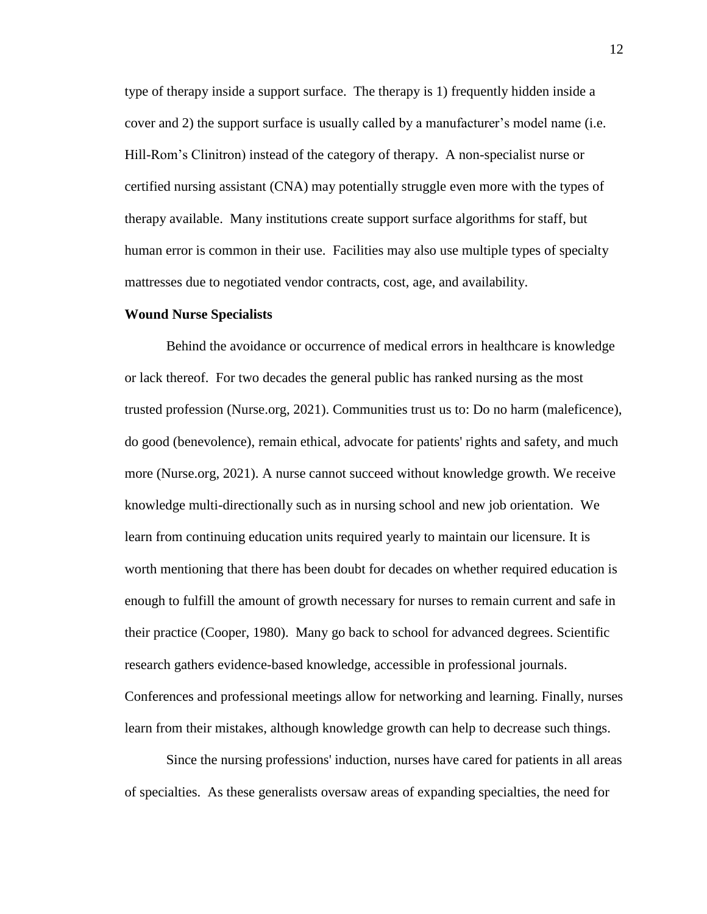type of therapy inside a support surface. The therapy is 1) frequently hidden inside a cover and 2) the support surface is usually called by a manufacturer's model name (i.e. Hill-Rom's Clinitron) instead of the category of therapy. A non-specialist nurse or certified nursing assistant (CNA) may potentially struggle even more with the types of therapy available. Many institutions create support surface algorithms for staff, but human error is common in their use. Facilities may also use multiple types of specialty mattresses due to negotiated vendor contracts, cost, age, and availability.

#### **Wound Nurse Specialists**

Behind the avoidance or occurrence of medical errors in healthcare is knowledge or lack thereof. For two decades the general public has ranked nursing as the most trusted profession (Nurse.org, 2021). Communities trust us to: Do no harm (maleficence), do good (benevolence), remain ethical, advocate for patients' rights and safety, and much more (Nurse.org, 2021). A nurse cannot succeed without knowledge growth. We receive knowledge multi-directionally such as in nursing school and new job orientation. We learn from continuing education units required yearly to maintain our licensure. It is worth mentioning that there has been doubt for decades on whether required education is enough to fulfill the amount of growth necessary for nurses to remain current and safe in their practice (Cooper, 1980). Many go back to school for advanced degrees. Scientific research gathers evidence-based knowledge, accessible in professional journals. Conferences and professional meetings allow for networking and learning. Finally, nurses learn from their mistakes, although knowledge growth can help to decrease such things.

Since the nursing professions' induction, nurses have cared for patients in all areas of specialties. As these generalists oversaw areas of expanding specialties, the need for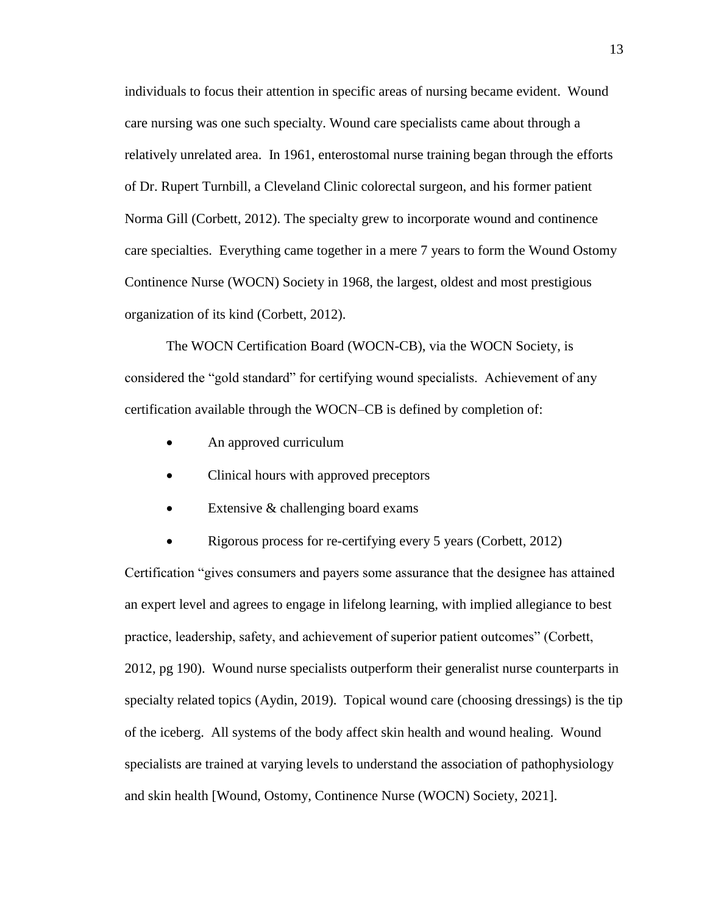individuals to focus their attention in specific areas of nursing became evident. Wound care nursing was one such specialty. Wound care specialists came about through a relatively unrelated area. In 1961, enterostomal nurse training began through the efforts of Dr. Rupert Turnbill, a Cleveland Clinic colorectal surgeon, and his former patient Norma Gill (Corbett, 2012). The specialty grew to incorporate wound and continence care specialties. Everything came together in a mere 7 years to form the Wound Ostomy Continence Nurse (WOCN) Society in 1968, the largest, oldest and most prestigious organization of its kind (Corbett, 2012).

The WOCN Certification Board (WOCN-CB), via the WOCN Society, is considered the "gold standard" for certifying wound specialists. Achievement of any certification available through the WOCN–CB is defined by completion of:

- An approved curriculum
- Clinical hours with approved preceptors
- Extensive & challenging board exams
- Rigorous process for re-certifying every 5 years (Corbett, 2012)

Certification "gives consumers and payers some assurance that the designee has attained an expert level and agrees to engage in lifelong learning, with implied allegiance to best practice, leadership, safety, and achievement of superior patient outcomes" (Corbett, 2012, pg 190). Wound nurse specialists outperform their generalist nurse counterparts in specialty related topics (Aydin, 2019). Topical wound care (choosing dressings) is the tip of the iceberg. All systems of the body affect skin health and wound healing. Wound specialists are trained at varying levels to understand the association of pathophysiology and skin health [Wound, Ostomy, Continence Nurse (WOCN) Society, 2021].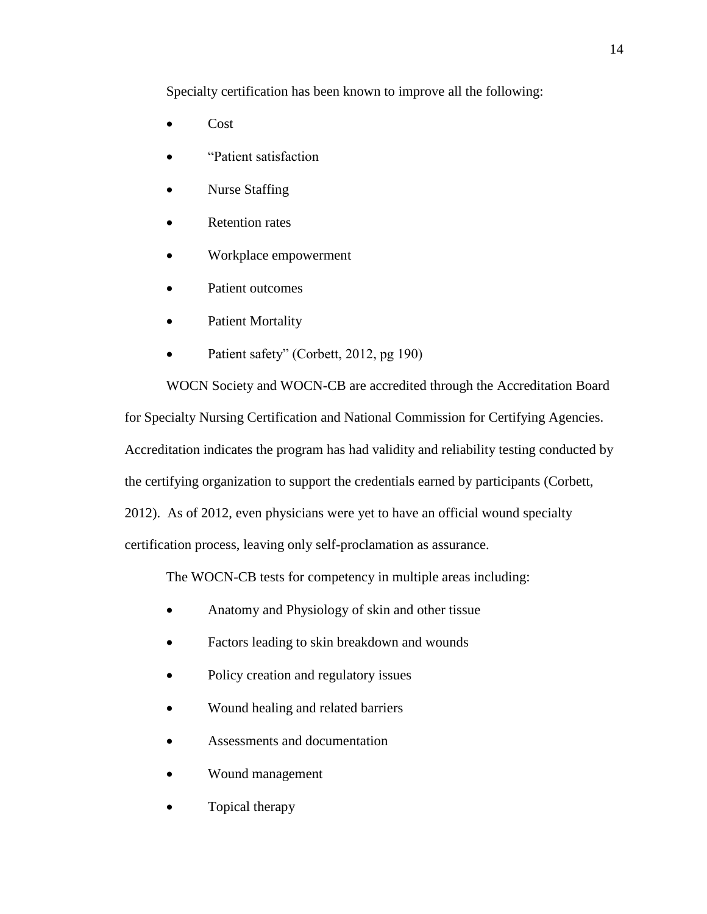Specialty certification has been known to improve all the following:

- Cost
- "Patient satisfaction
- Nurse Staffing
- Retention rates
- Workplace empowerment
- Patient outcomes
- Patient Mortality
- Patient safety" (Corbett, 2012, pg 190)

WOCN Society and WOCN-CB are accredited through the Accreditation Board for Specialty Nursing Certification and National Commission for Certifying Agencies. Accreditation indicates the program has had validity and reliability testing conducted by the certifying organization to support the credentials earned by participants (Corbett, 2012). As of 2012, even physicians were yet to have an official wound specialty certification process, leaving only self-proclamation as assurance.

The WOCN-CB tests for competency in multiple areas including:

- Anatomy and Physiology of skin and other tissue
- Factors leading to skin breakdown and wounds
- Policy creation and regulatory issues
- Wound healing and related barriers
- Assessments and documentation
- Wound management
- Topical therapy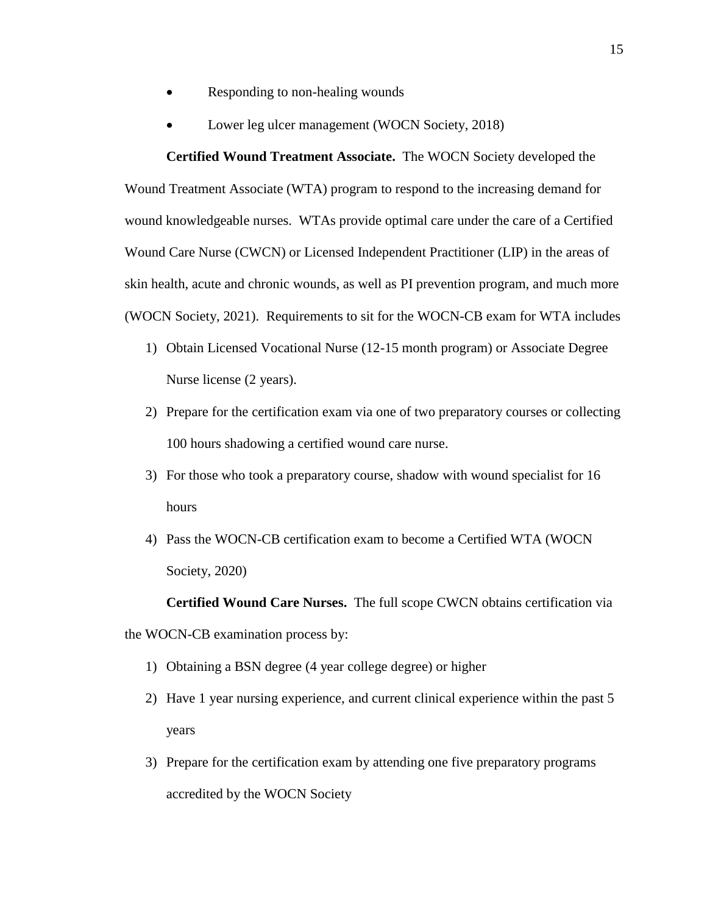- Responding to non-healing wounds
- Lower leg ulcer management (WOCN Society, 2018)

**Certified Wound Treatment Associate.** The WOCN Society developed the Wound Treatment Associate (WTA) program to respond to the increasing demand for wound knowledgeable nurses. WTAs provide optimal care under the care of a Certified Wound Care Nurse (CWCN) or Licensed Independent Practitioner (LIP) in the areas of skin health, acute and chronic wounds, as well as PI prevention program, and much more (WOCN Society, 2021). Requirements to sit for the WOCN-CB exam for WTA includes

- 1) Obtain Licensed Vocational Nurse (12-15 month program) or Associate Degree Nurse license (2 years).
- 2) Prepare for the certification exam via one of two preparatory courses or collecting 100 hours shadowing a certified wound care nurse.
- 3) For those who took a preparatory course, shadow with wound specialist for 16 hours
- 4) Pass the WOCN-CB certification exam to become a Certified WTA (WOCN Society, 2020)

**Certified Wound Care Nurses.** The full scope CWCN obtains certification via the WOCN-CB examination process by:

- 1) Obtaining a BSN degree (4 year college degree) or higher
- 2) Have 1 year nursing experience, and current clinical experience within the past 5 years
- 3) Prepare for the certification exam by attending one five preparatory programs accredited by the WOCN Society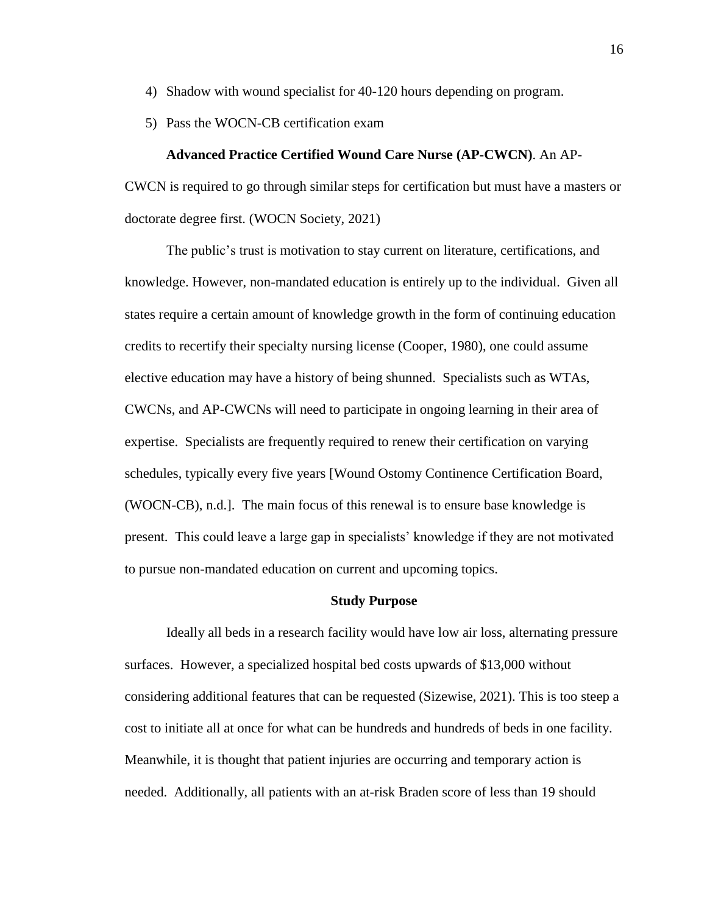- 4) Shadow with wound specialist for 40-120 hours depending on program.
- 5) Pass the WOCN-CB certification exam

#### **Advanced Practice Certified Wound Care Nurse (AP-CWCN)**. An AP-

CWCN is required to go through similar steps for certification but must have a masters or doctorate degree first. (WOCN Society, 2021)

The public's trust is motivation to stay current on literature, certifications, and knowledge. However, non-mandated education is entirely up to the individual. Given all states require a certain amount of knowledge growth in the form of continuing education credits to recertify their specialty nursing license (Cooper, 1980), one could assume elective education may have a history of being shunned. Specialists such as WTAs, CWCNs, and AP-CWCNs will need to participate in ongoing learning in their area of expertise. Specialists are frequently required to renew their certification on varying schedules, typically every five years [Wound Ostomy Continence Certification Board, (WOCN-CB), n.d.]. The main focus of this renewal is to ensure base knowledge is present. This could leave a large gap in specialists' knowledge if they are not motivated to pursue non-mandated education on current and upcoming topics.

#### **Study Purpose**

Ideally all beds in a research facility would have low air loss, alternating pressure surfaces. However, a specialized hospital bed costs upwards of \$13,000 without considering additional features that can be requested (Sizewise, 2021). This is too steep a cost to initiate all at once for what can be hundreds and hundreds of beds in one facility. Meanwhile, it is thought that patient injuries are occurring and temporary action is needed. Additionally, all patients with an at-risk Braden score of less than 19 should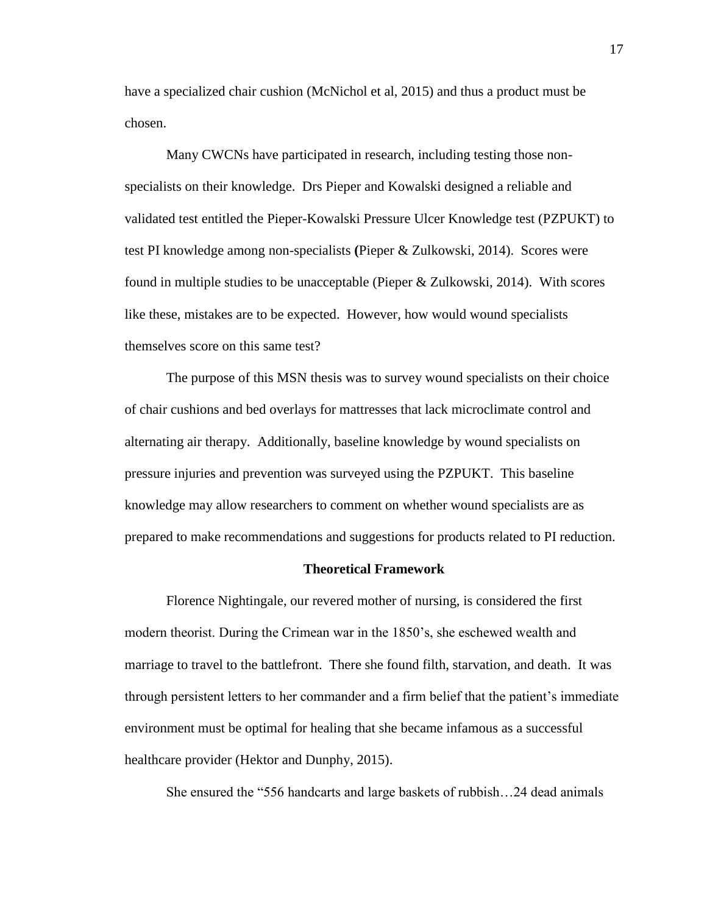have a specialized chair cushion (McNichol et al, 2015) and thus a product must be chosen.

Many CWCNs have participated in research, including testing those nonspecialists on their knowledge. Drs Pieper and Kowalski designed a reliable and validated test entitled the Pieper-Kowalski Pressure Ulcer Knowledge test (PZPUKT) to test PI knowledge among non-specialists **(**Pieper & Zulkowski, 2014). Scores were found in multiple studies to be unacceptable (Pieper & Zulkowski, 2014). With scores like these, mistakes are to be expected. However, how would wound specialists themselves score on this same test?

The purpose of this MSN thesis was to survey wound specialists on their choice of chair cushions and bed overlays for mattresses that lack microclimate control and alternating air therapy. Additionally, baseline knowledge by wound specialists on pressure injuries and prevention was surveyed using the PZPUKT. This baseline knowledge may allow researchers to comment on whether wound specialists are as prepared to make recommendations and suggestions for products related to PI reduction.

#### **Theoretical Framework**

Florence Nightingale, our revered mother of nursing, is considered the first modern theorist. During the Crimean war in the 1850's, she eschewed wealth and marriage to travel to the battlefront. There she found filth, starvation, and death. It was through persistent letters to her commander and a firm belief that the patient's immediate environment must be optimal for healing that she became infamous as a successful healthcare provider (Hektor and Dunphy, 2015).

She ensured the "556 handcarts and large baskets of rubbish…24 dead animals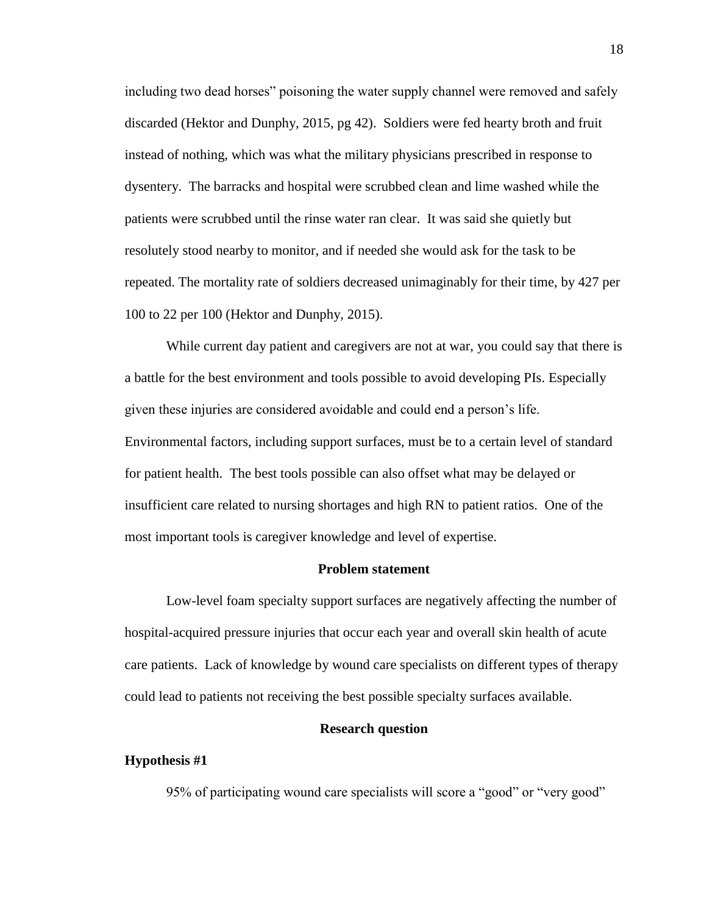including two dead horses" poisoning the water supply channel were removed and safely discarded (Hektor and Dunphy, 2015, pg 42). Soldiers were fed hearty broth and fruit instead of nothing, which was what the military physicians prescribed in response to dysentery. The barracks and hospital were scrubbed clean and lime washed while the patients were scrubbed until the rinse water ran clear. It was said she quietly but resolutely stood nearby to monitor, and if needed she would ask for the task to be repeated. The mortality rate of soldiers decreased unimaginably for their time, by 427 per 100 to 22 per 100 (Hektor and Dunphy, 2015).

While current day patient and caregivers are not at war, you could say that there is a battle for the best environment and tools possible to avoid developing PIs. Especially given these injuries are considered avoidable and could end a person's life. Environmental factors, including support surfaces, must be to a certain level of standard for patient health. The best tools possible can also offset what may be delayed or insufficient care related to nursing shortages and high RN to patient ratios. One of the most important tools is caregiver knowledge and level of expertise.

#### **Problem statement**

Low-level foam specialty support surfaces are negatively affecting the number of hospital-acquired pressure injuries that occur each year and overall skin health of acute care patients. Lack of knowledge by wound care specialists on different types of therapy could lead to patients not receiving the best possible specialty surfaces available.

#### **Research question**

#### **Hypothesis #1**

95% of participating wound care specialists will score a "good" or "very good"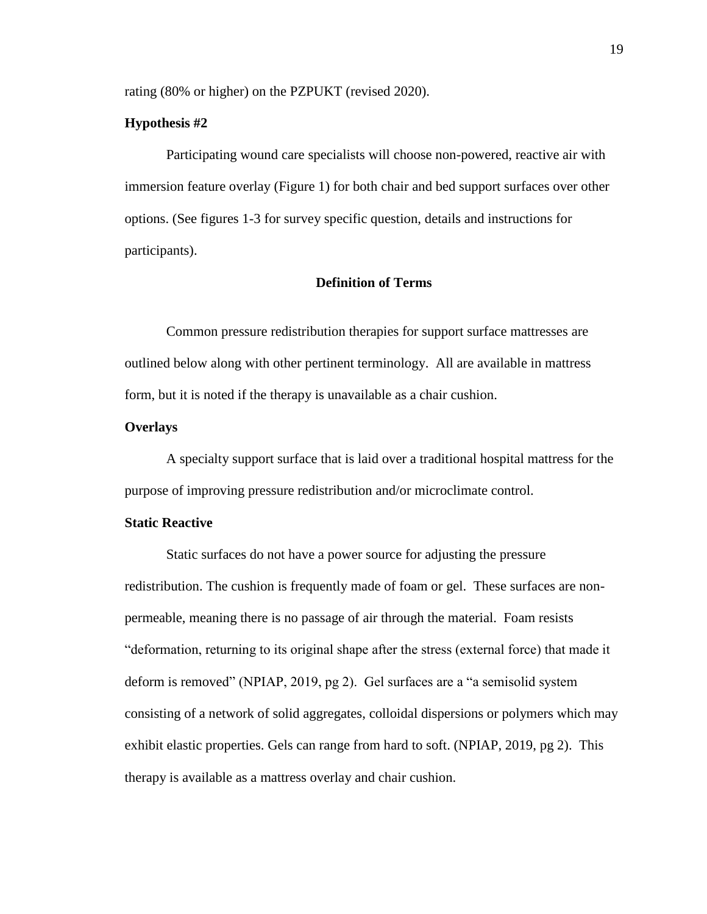rating (80% or higher) on the PZPUKT (revised 2020).

#### **Hypothesis #2**

Participating wound care specialists will choose non-powered, reactive air with immersion feature overlay (Figure 1) for both chair and bed support surfaces over other options. (See figures 1-3 for survey specific question, details and instructions for participants).

#### **Definition of Terms**

Common pressure redistribution therapies for support surface mattresses are outlined below along with other pertinent terminology. All are available in mattress form, but it is noted if the therapy is unavailable as a chair cushion.

#### **Overlays**

A specialty support surface that is laid over a traditional hospital mattress for the purpose of improving pressure redistribution and/or microclimate control.

### **Static Reactive**

Static surfaces do not have a power source for adjusting the pressure redistribution. The cushion is frequently made of foam or gel. These surfaces are nonpermeable, meaning there is no passage of air through the material. Foam resists "deformation, returning to its original shape after the stress (external force) that made it deform is removed" (NPIAP, 2019, pg 2).Gel surfaces are a "a semisolid system consisting of a network of solid aggregates, colloidal dispersions or polymers which may exhibit elastic properties. Gels can range from hard to soft. (NPIAP, 2019, pg 2). This therapy is available as a mattress overlay and chair cushion.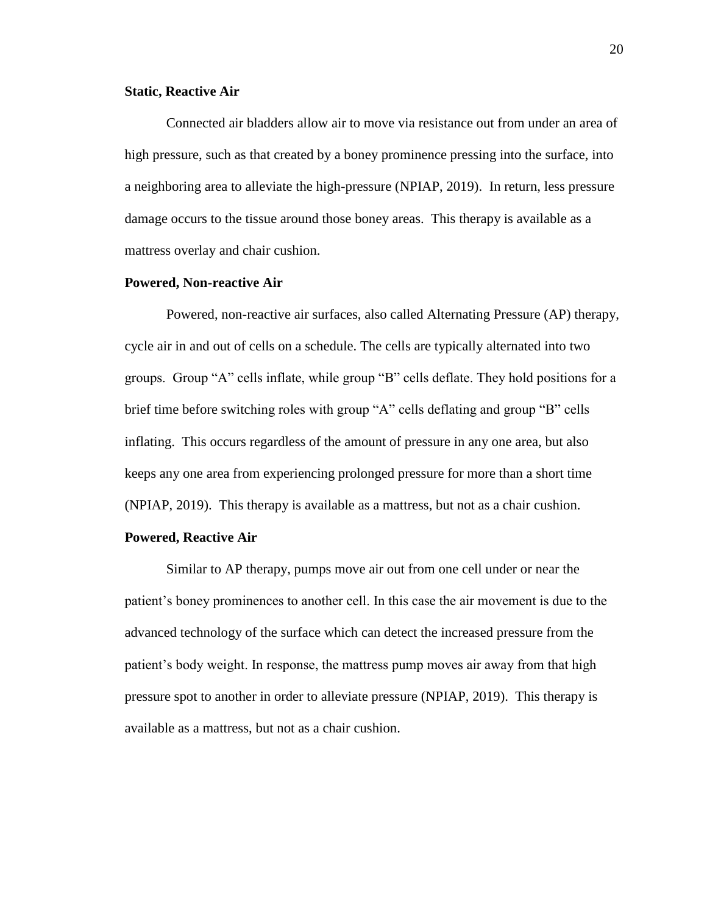#### **Static, Reactive Air**

Connected air bladders allow air to move via resistance out from under an area of high pressure, such as that created by a boney prominence pressing into the surface, into a neighboring area to alleviate the high-pressure (NPIAP, 2019). In return, less pressure damage occurs to the tissue around those boney areas. This therapy is available as a mattress overlay and chair cushion.

#### **Powered, Non-reactive Air**

Powered, non-reactive air surfaces, also called Alternating Pressure (AP) therapy, cycle air in and out of cells on a schedule. The cells are typically alternated into two groups. Group "A" cells inflate, while group "B" cells deflate. They hold positions for a brief time before switching roles with group "A" cells deflating and group "B" cells inflating. This occurs regardless of the amount of pressure in any one area, but also keeps any one area from experiencing prolonged pressure for more than a short time (NPIAP, 2019). This therapy is available as a mattress, but not as a chair cushion.

#### **Powered, Reactive Air**

Similar to AP therapy, pumps move air out from one cell under or near the patient's boney prominences to another cell. In this case the air movement is due to the advanced technology of the surface which can detect the increased pressure from the patient's body weight. In response, the mattress pump moves air away from that high pressure spot to another in order to alleviate pressure (NPIAP, 2019). This therapy is available as a mattress, but not as a chair cushion.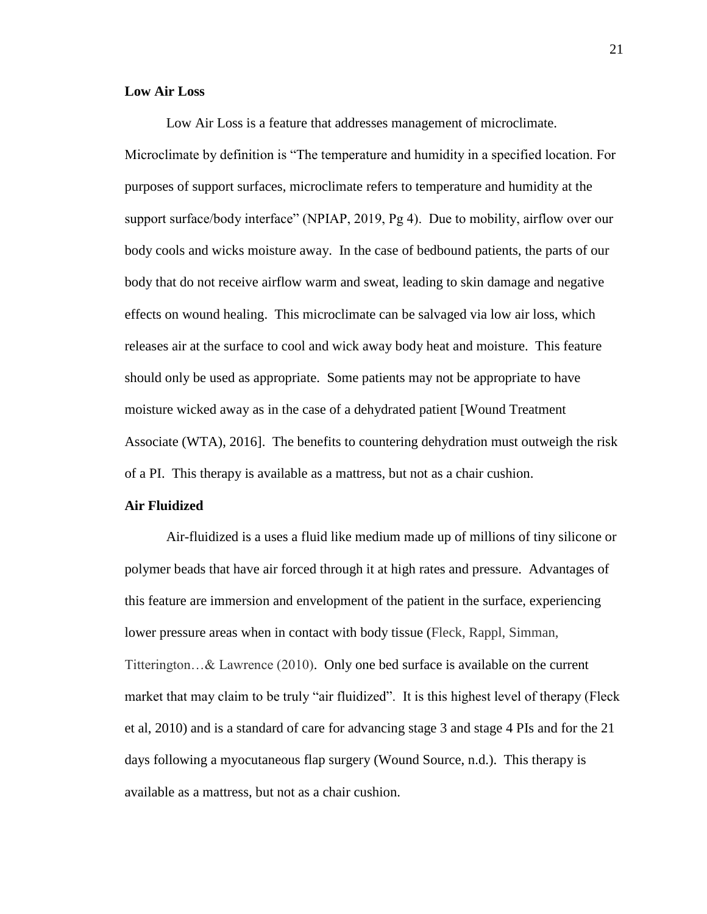#### **Low Air Loss**

Low Air Loss is a feature that addresses management of microclimate. Microclimate by definition is "The temperature and humidity in a specified location. For purposes of support surfaces, microclimate refers to temperature and humidity at the support surface/body interface" (NPIAP, 2019, Pg 4). Due to mobility, airflow over our body cools and wicks moisture away. In the case of bedbound patients, the parts of our body that do not receive airflow warm and sweat, leading to skin damage and negative effects on wound healing. This microclimate can be salvaged via low air loss, which releases air at the surface to cool and wick away body heat and moisture. This feature should only be used as appropriate. Some patients may not be appropriate to have moisture wicked away as in the case of a dehydrated patient [Wound Treatment Associate (WTA), 2016]. The benefits to countering dehydration must outweigh the risk of a PI. This therapy is available as a mattress, but not as a chair cushion.

#### **Air Fluidized**

Air-fluidized is a uses a fluid like medium made up of millions of tiny silicone or polymer beads that have air forced through it at high rates and pressure. Advantages of this feature are immersion and envelopment of the patient in the surface, experiencing lower pressure areas when in contact with body tissue (Fleck, Rappl, Simman, Titterington…& Lawrence (2010). Only one bed surface is available on the current market that may claim to be truly "air fluidized". It is this highest level of therapy (Fleck et al, 2010) and is a standard of care for advancing stage 3 and stage 4 PIs and for the 21 days following a myocutaneous flap surgery (Wound Source, n.d.). This therapy is available as a mattress, but not as a chair cushion.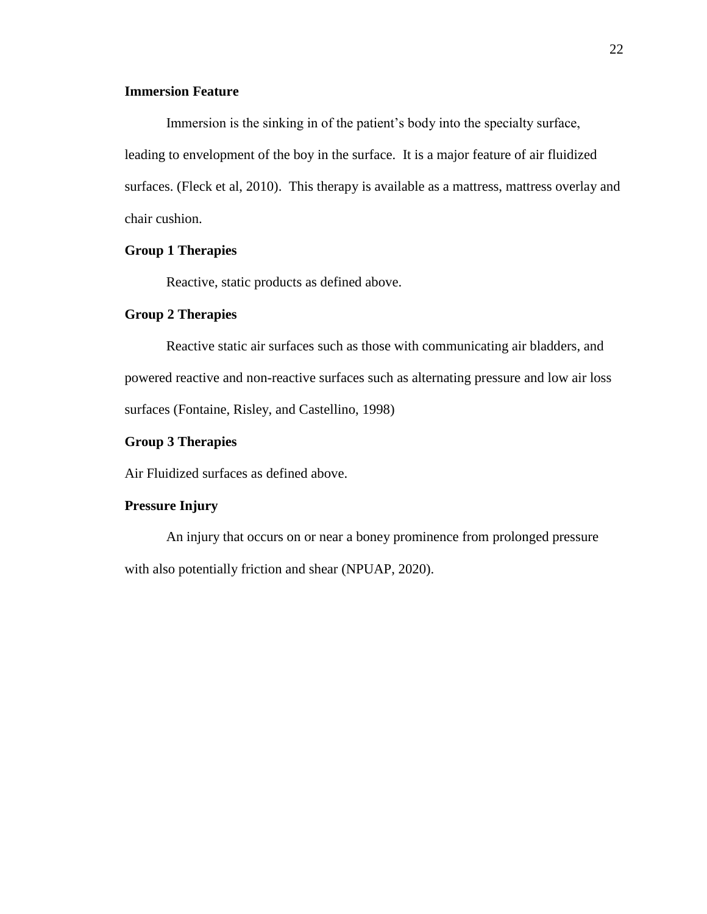### **Immersion Feature**

Immersion is the sinking in of the patient's body into the specialty surface, leading to envelopment of the boy in the surface. It is a major feature of air fluidized surfaces. (Fleck et al, 2010). This therapy is available as a mattress, mattress overlay and chair cushion.

#### **Group 1 Therapies**

Reactive, static products as defined above.

#### **Group 2 Therapies**

Reactive static air surfaces such as those with communicating air bladders, and powered reactive and non-reactive surfaces such as alternating pressure and low air loss surfaces (Fontaine, Risley, and Castellino, 1998)

#### **Group 3 Therapies**

Air Fluidized surfaces as defined above.

#### **Pressure Injury**

An injury that occurs on or near a boney prominence from prolonged pressure with also potentially friction and shear (NPUAP, 2020).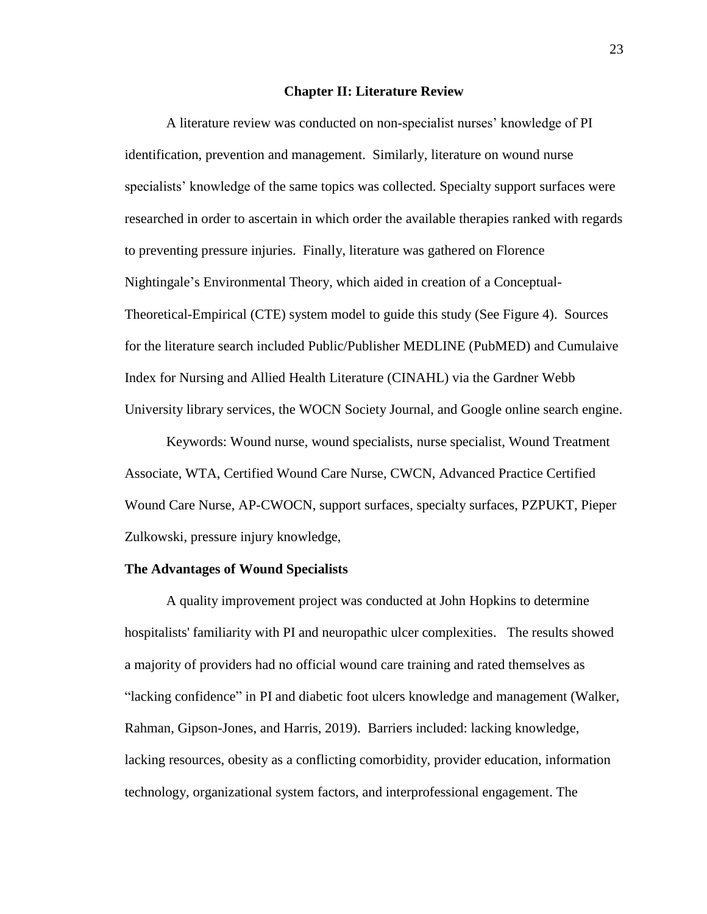#### **Chapter II: Literature Review**

A literature review was conducted on non-specialist nurses' knowledge of PI identification, prevention and management. Similarly, literature on wound nurse specialists' knowledge of the same topics was collected. Specialty support surfaces were researched in order to ascertain in which order the available therapies ranked with regards to preventing pressure injuries. Finally, literature was gathered on Florence Nightingale's Environmental Theory, which aided in creation of a Conceptual-Theoretical-Empirical (CTE) system model to guide this study (See Figure 4). Sources for the literature search included Public/Publisher MEDLINE (PubMED) and Cumulaive Index for Nursing and Allied Health Literature (CINAHL) via the Gardner Webb University library services, the WOCN Society Journal, and Google online search engine.

Keywords: Wound nurse, wound specialists, nurse specialist, Wound Treatment Associate, WTA, Certified Wound Care Nurse, CWCN, Advanced Practice Certified Wound Care Nurse, AP-CWOCN, support surfaces, specialty surfaces, PZPUKT, Pieper Zulkowski, pressure injury knowledge,

#### **The Advantages of Wound Specialists**

A quality improvement project was conducted at John Hopkins to determine hospitalists' familiarity with PI and neuropathic ulcer complexities. The results showed a majority of providers had no official wound care training and rated themselves as "lacking confidence" in PI and diabetic foot ulcers knowledge and management (Walker, Rahman, Gipson-Jones, and Harris, 2019). Barriers included: lacking knowledge, lacking resources, obesity as a conflicting comorbidity, provider education, information technology, organizational system factors, and interprofessional engagement. The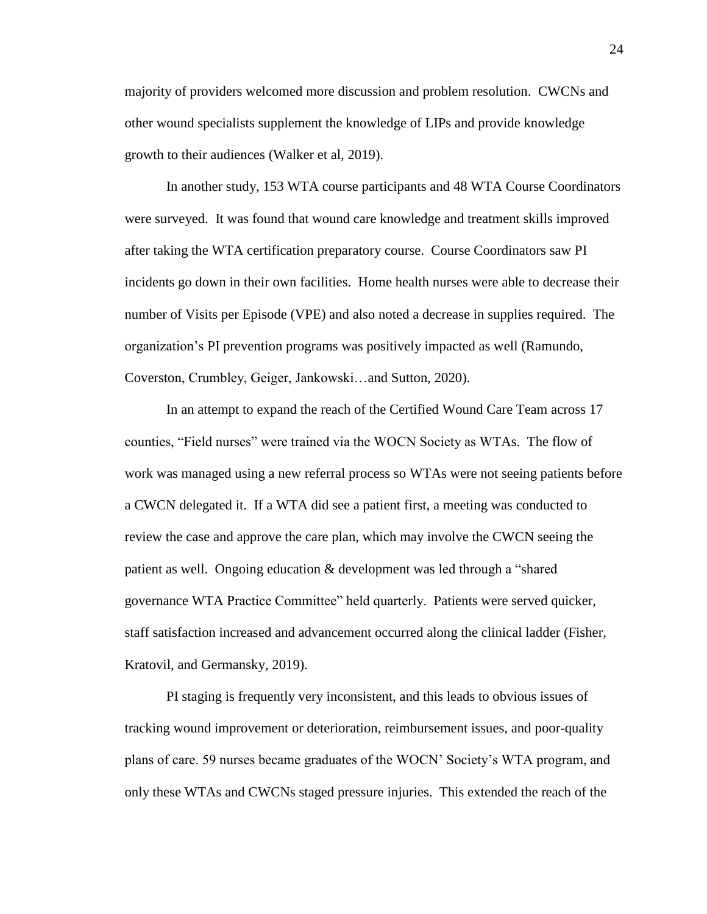majority of providers welcomed more discussion and problem resolution. CWCNs and other wound specialists supplement the knowledge of LIPs and provide knowledge growth to their audiences (Walker et al, 2019).

In another study, 153 WTA course participants and 48 WTA Course Coordinators were surveyed. It was found that wound care knowledge and treatment skills improved after taking the WTA certification preparatory course. Course Coordinators saw PI incidents go down in their own facilities. Home health nurses were able to decrease their number of Visits per Episode (VPE) and also noted a decrease in supplies required. The organization's PI prevention programs was positively impacted as well (Ramundo, Coverston, Crumbley, Geiger, Jankowski…and Sutton, 2020).

In an attempt to expand the reach of the Certified Wound Care Team across 17 counties, "Field nurses" were trained via the WOCN Society as WTAs. The flow of work was managed using a new referral process so WTAs were not seeing patients before a CWCN delegated it. If a WTA did see a patient first, a meeting was conducted to review the case and approve the care plan, which may involve the CWCN seeing the patient as well. Ongoing education & development was led through a "shared governance WTA Practice Committee" held quarterly. Patients were served quicker, staff satisfaction increased and advancement occurred along the clinical ladder (Fisher, Kratovil, and Germansky, 2019).

PI staging is frequently very inconsistent, and this leads to obvious issues of tracking wound improvement or deterioration, reimbursement issues, and poor-quality plans of care. 59 nurses became graduates of the WOCN' Society's WTA program, and only these WTAs and CWCNs staged pressure injuries. This extended the reach of the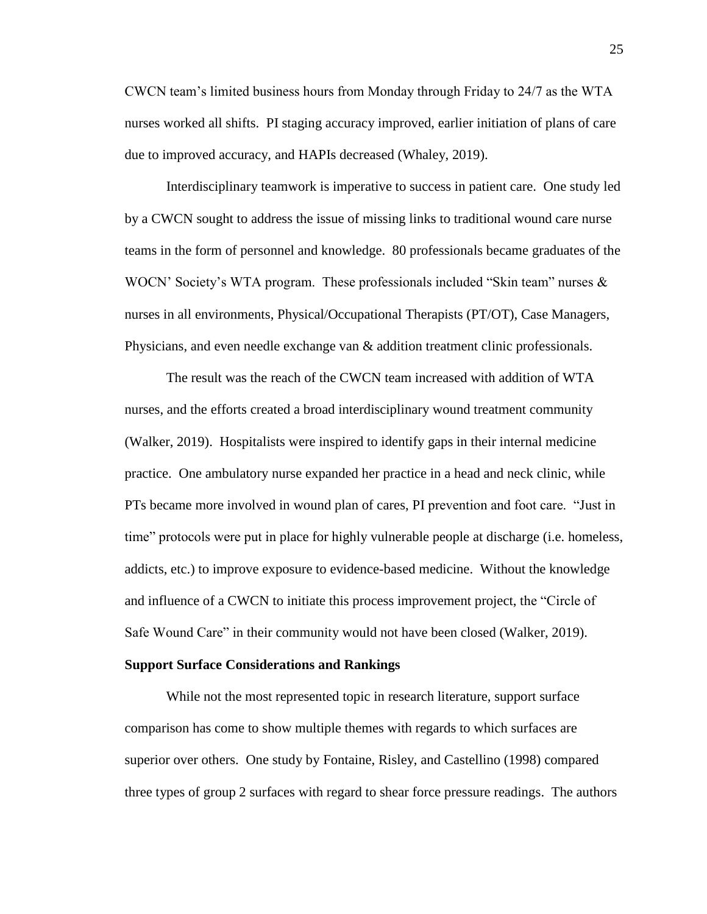CWCN team's limited business hours from Monday through Friday to 24/7 as the WTA nurses worked all shifts. PI staging accuracy improved, earlier initiation of plans of care due to improved accuracy, and HAPIs decreased (Whaley, 2019).

Interdisciplinary teamwork is imperative to success in patient care. One study led by a CWCN sought to address the issue of missing links to traditional wound care nurse teams in the form of personnel and knowledge. 80 professionals became graduates of the WOCN' Society's WTA program. These professionals included "Skin team" nurses & nurses in all environments, Physical/Occupational Therapists (PT/OT), Case Managers, Physicians, and even needle exchange van & addition treatment clinic professionals.

The result was the reach of the CWCN team increased with addition of WTA nurses, and the efforts created a broad interdisciplinary wound treatment community (Walker, 2019). Hospitalists were inspired to identify gaps in their internal medicine practice. One ambulatory nurse expanded her practice in a head and neck clinic, while PTs became more involved in wound plan of cares, PI prevention and foot care. "Just in time" protocols were put in place for highly vulnerable people at discharge (i.e. homeless, addicts, etc.) to improve exposure to evidence-based medicine. Without the knowledge and influence of a CWCN to initiate this process improvement project, the "Circle of Safe Wound Care" in their community would not have been closed (Walker, 2019).

#### **Support Surface Considerations and Rankings**

While not the most represented topic in research literature, support surface comparison has come to show multiple themes with regards to which surfaces are superior over others. One study by Fontaine, Risley, and Castellino (1998) compared three types of group 2 surfaces with regard to shear force pressure readings. The authors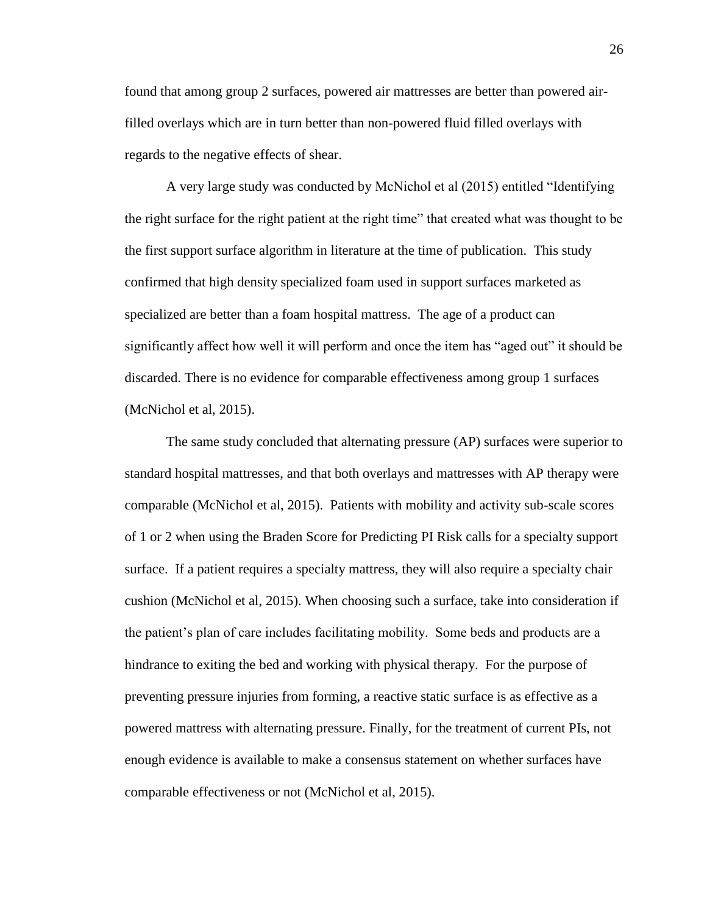found that among group 2 surfaces, powered air mattresses are better than powered airfilled overlays which are in turn better than non-powered fluid filled overlays with regards to the negative effects of shear.

A very large study was conducted by McNichol et al (2015) entitled "Identifying the right surface for the right patient at the right time" that created what was thought to be the first support surface algorithm in literature at the time of publication. This study confirmed that high density specialized foam used in support surfaces marketed as specialized are better than a foam hospital mattress. The age of a product can significantly affect how well it will perform and once the item has "aged out" it should be discarded. There is no evidence for comparable effectiveness among group 1 surfaces (McNichol et al, 2015).

The same study concluded that alternating pressure (AP) surfaces were superior to standard hospital mattresses, and that both overlays and mattresses with AP therapy were comparable (McNichol et al, 2015). Patients with mobility and activity sub-scale scores of 1 or 2 when using the Braden Score for Predicting PI Risk calls for a specialty support surface. If a patient requires a specialty mattress, they will also require a specialty chair cushion (McNichol et al, 2015). When choosing such a surface, take into consideration if the patient's plan of care includes facilitating mobility. Some beds and products are a hindrance to exiting the bed and working with physical therapy. For the purpose of preventing pressure injuries from forming, a reactive static surface is as effective as a powered mattress with alternating pressure. Finally, for the treatment of current PIs, not enough evidence is available to make a consensus statement on whether surfaces have comparable effectiveness or not (McNichol et al, 2015).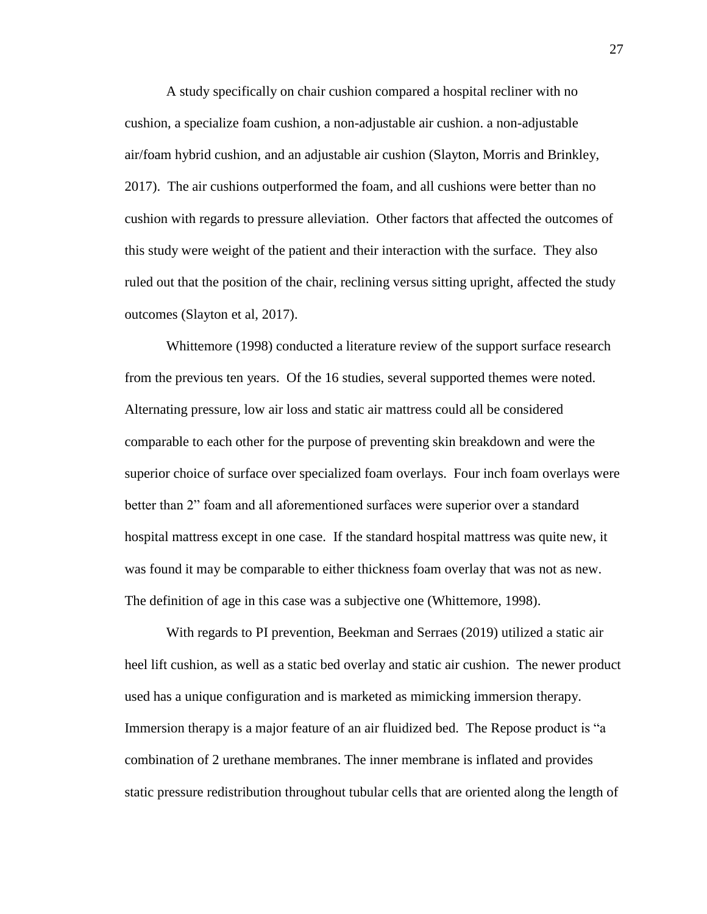A study specifically on chair cushion compared a hospital recliner with no cushion, a specialize foam cushion, a non-adjustable air cushion. a non-adjustable air/foam hybrid cushion, and an adjustable air cushion (Slayton, Morris and Brinkley, 2017). The air cushions outperformed the foam, and all cushions were better than no cushion with regards to pressure alleviation. Other factors that affected the outcomes of this study were weight of the patient and their interaction with the surface. They also ruled out that the position of the chair, reclining versus sitting upright, affected the study outcomes (Slayton et al, 2017).

Whittemore (1998) conducted a literature review of the support surface research from the previous ten years. Of the 16 studies, several supported themes were noted. Alternating pressure, low air loss and static air mattress could all be considered comparable to each other for the purpose of preventing skin breakdown and were the superior choice of surface over specialized foam overlays. Four inch foam overlays were better than 2" foam and all aforementioned surfaces were superior over a standard hospital mattress except in one case. If the standard hospital mattress was quite new, it was found it may be comparable to either thickness foam overlay that was not as new. The definition of age in this case was a subjective one (Whittemore, 1998).

With regards to PI prevention, Beekman and Serraes (2019) utilized a static air heel lift cushion, as well as a static bed overlay and static air cushion. The newer product used has a unique configuration and is marketed as mimicking immersion therapy. Immersion therapy is a major feature of an air fluidized bed. The Repose product is "a combination of 2 urethane membranes. The inner membrane is inflated and provides static pressure redistribution throughout tubular cells that are oriented along the length of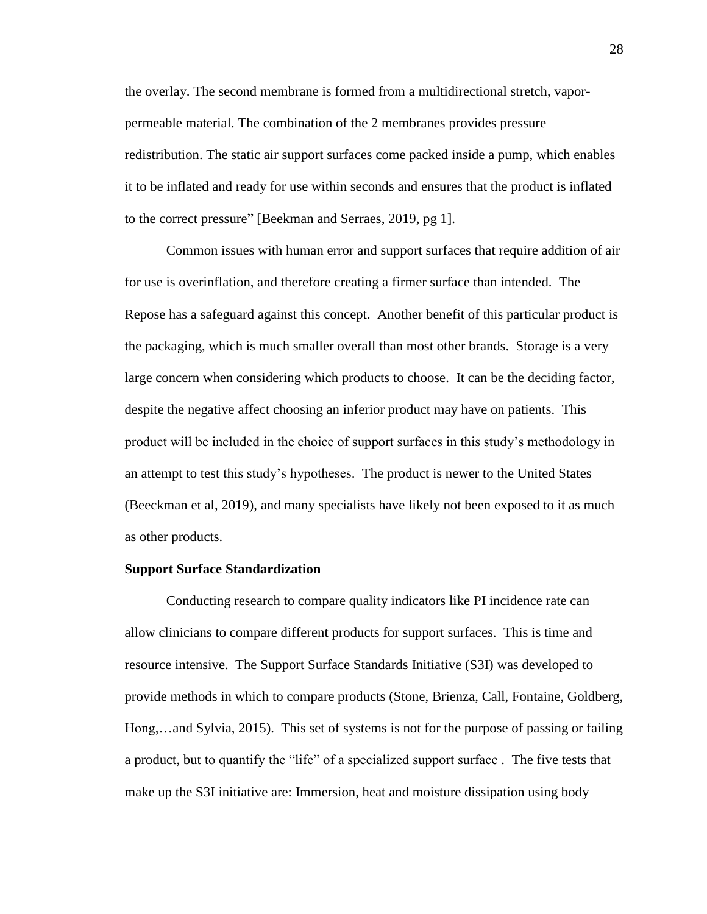the overlay. The second membrane is formed from a multidirectional stretch, vaporpermeable material. The combination of the 2 membranes provides pressure redistribution. The static air support surfaces come packed inside a pump, which enables it to be inflated and ready for use within seconds and ensures that the product is inflated to the correct pressure" [Beekman and Serraes, 2019, pg 1].

Common issues with human error and support surfaces that require addition of air for use is overinflation, and therefore creating a firmer surface than intended. The Repose has a safeguard against this concept. Another benefit of this particular product is the packaging, which is much smaller overall than most other brands. Storage is a very large concern when considering which products to choose. It can be the deciding factor, despite the negative affect choosing an inferior product may have on patients. This product will be included in the choice of support surfaces in this study's methodology in an attempt to test this study's hypotheses. The product is newer to the United States (Beeckman et al, 2019), and many specialists have likely not been exposed to it as much as other products.

#### **Support Surface Standardization**

Conducting research to compare quality indicators like PI incidence rate can allow clinicians to compare different products for support surfaces. This is time and resource intensive. The Support Surface Standards Initiative (S3I) was developed to provide methods in which to compare products (Stone, Brienza, Call, Fontaine, Goldberg, Hong,…and Sylvia, 2015). This set of systems is not for the purpose of passing or failing a product, but to quantify the "life" of a specialized support surface . The five tests that make up the S3I initiative are: Immersion, heat and moisture dissipation using body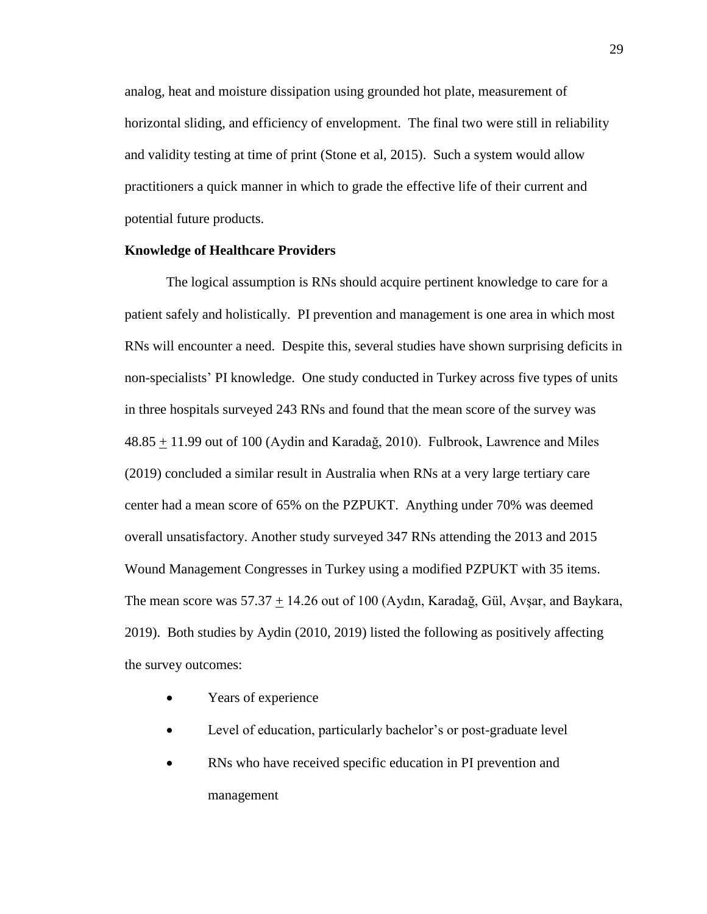analog, heat and moisture dissipation using grounded hot plate, measurement of horizontal sliding, and efficiency of envelopment. The final two were still in reliability and validity testing at time of print (Stone et al, 2015). Such a system would allow practitioners a quick manner in which to grade the effective life of their current and potential future products.

#### **Knowledge of Healthcare Providers**

The logical assumption is RNs should acquire pertinent knowledge to care for a patient safely and holistically. PI prevention and management is one area in which most RNs will encounter a need. Despite this, several studies have shown surprising deficits in non-specialists' PI knowledge. One study conducted in Turkey across five types of units in three hospitals surveyed 243 RNs and found that the mean score of the survey was 48.85 + 11.99 out of 100 (Aydin and Karadağ, 2010). Fulbrook, Lawrence and Miles (2019) concluded a similar result in Australia when RNs at a very large tertiary care center had a mean score of 65% on the PZPUKT. Anything under 70% was deemed overall unsatisfactory. Another study surveyed 347 RNs attending the 2013 and 2015 Wound Management Congresses in Turkey using a modified PZPUKT with 35 items. The mean score was  $57.37 + 14.26$  out of 100 (Aydın, Karadağ, Gül, Avşar, and Baykara, 2019). Both studies by Aydin (2010, 2019) listed the following as positively affecting the survey outcomes:

- Years of experience
- Level of education, particularly bachelor's or post-graduate level
- RNs who have received specific education in PI prevention and management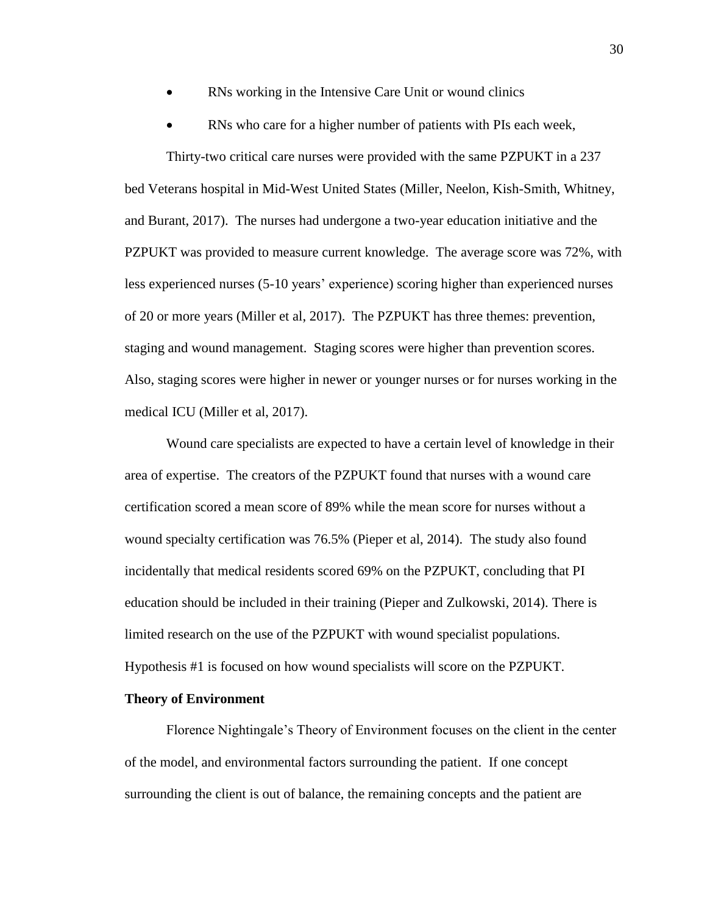- RNs working in the Intensive Care Unit or wound clinics
- RNs who care for a higher number of patients with PIs each week,

Thirty-two critical care nurses were provided with the same PZPUKT in a 237 bed Veterans hospital in Mid-West United States (Miller, Neelon, Kish-Smith, Whitney, and Burant, 2017). The nurses had undergone a two-year education initiative and the PZPUKT was provided to measure current knowledge. The average score was 72%, with less experienced nurses (5-10 years' experience) scoring higher than experienced nurses of 20 or more years (Miller et al, 2017). The PZPUKT has three themes: prevention, staging and wound management. Staging scores were higher than prevention scores. Also, staging scores were higher in newer or younger nurses or for nurses working in the medical ICU (Miller et al, 2017).

Wound care specialists are expected to have a certain level of knowledge in their area of expertise. The creators of the PZPUKT found that nurses with a wound care certification scored a mean score of 89% while the mean score for nurses without a wound specialty certification was 76.5% (Pieper et al, 2014). The study also found incidentally that medical residents scored 69% on the PZPUKT, concluding that PI education should be included in their training (Pieper and Zulkowski, 2014). There is limited research on the use of the PZPUKT with wound specialist populations. Hypothesis #1 is focused on how wound specialists will score on the PZPUKT.

#### **Theory of Environment**

Florence Nightingale's Theory of Environment focuses on the client in the center of the model, and environmental factors surrounding the patient. If one concept surrounding the client is out of balance, the remaining concepts and the patient are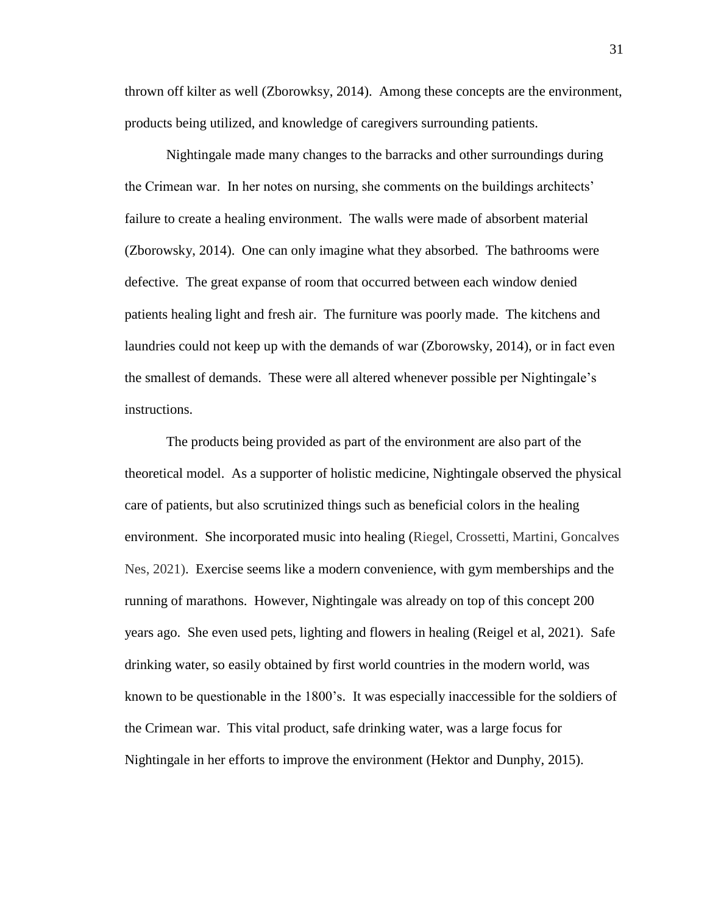thrown off kilter as well (Zborowksy, 2014). Among these concepts are the environment, products being utilized, and knowledge of caregivers surrounding patients.

Nightingale made many changes to the barracks and other surroundings during the Crimean war. In her notes on nursing, she comments on the buildings architects' failure to create a healing environment. The walls were made of absorbent material (Zborowsky, 2014). One can only imagine what they absorbed. The bathrooms were defective. The great expanse of room that occurred between each window denied patients healing light and fresh air. The furniture was poorly made. The kitchens and laundries could not keep up with the demands of war (Zborowsky, 2014), or in fact even the smallest of demands. These were all altered whenever possible per Nightingale's instructions.

The products being provided as part of the environment are also part of the theoretical model. As a supporter of holistic medicine, Nightingale observed the physical care of patients, but also scrutinized things such as beneficial colors in the healing environment. She incorporated music into healing (Riegel, Crossetti, Martini, Goncalves Nes, 2021). Exercise seems like a modern convenience, with gym memberships and the running of marathons. However, Nightingale was already on top of this concept 200 years ago. She even used pets, lighting and flowers in healing (Reigel et al, 2021). Safe drinking water, so easily obtained by first world countries in the modern world, was known to be questionable in the 1800's. It was especially inaccessible for the soldiers of the Crimean war. This vital product, safe drinking water, was a large focus for Nightingale in her efforts to improve the environment (Hektor and Dunphy, 2015).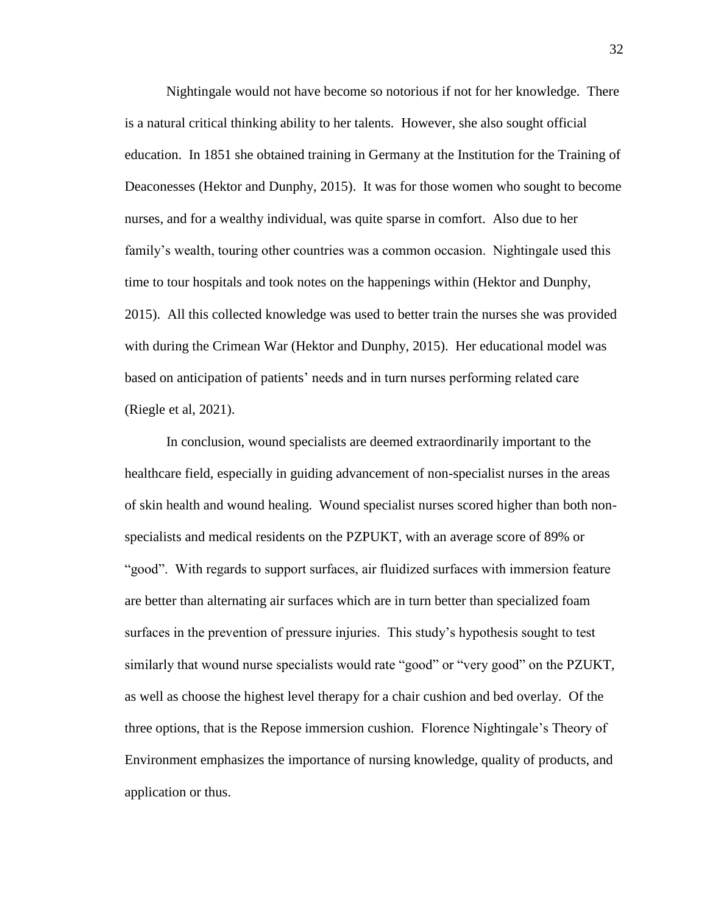Nightingale would not have become so notorious if not for her knowledge. There is a natural critical thinking ability to her talents. However, she also sought official education. In 1851 she obtained training in Germany at the Institution for the Training of Deaconesses (Hektor and Dunphy, 2015). It was for those women who sought to become nurses, and for a wealthy individual, was quite sparse in comfort. Also due to her family's wealth, touring other countries was a common occasion. Nightingale used this time to tour hospitals and took notes on the happenings within (Hektor and Dunphy, 2015). All this collected knowledge was used to better train the nurses she was provided with during the Crimean War (Hektor and Dunphy, 2015). Her educational model was based on anticipation of patients' needs and in turn nurses performing related care (Riegle et al, 2021).

In conclusion, wound specialists are deemed extraordinarily important to the healthcare field, especially in guiding advancement of non-specialist nurses in the areas of skin health and wound healing. Wound specialist nurses scored higher than both nonspecialists and medical residents on the PZPUKT, with an average score of 89% or "good". With regards to support surfaces, air fluidized surfaces with immersion feature are better than alternating air surfaces which are in turn better than specialized foam surfaces in the prevention of pressure injuries. This study's hypothesis sought to test similarly that wound nurse specialists would rate "good" or "very good" on the PZUKT, as well as choose the highest level therapy for a chair cushion and bed overlay. Of the three options, that is the Repose immersion cushion. Florence Nightingale's Theory of Environment emphasizes the importance of nursing knowledge, quality of products, and application or thus.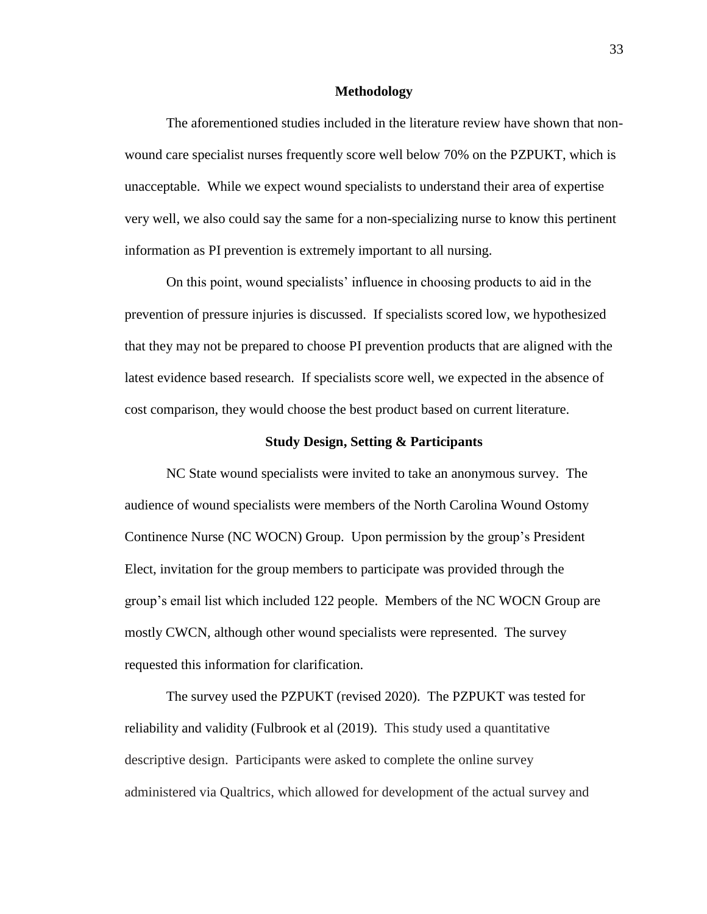#### **Methodology**

The aforementioned studies included in the literature review have shown that nonwound care specialist nurses frequently score well below 70% on the PZPUKT, which is unacceptable. While we expect wound specialists to understand their area of expertise very well, we also could say the same for a non-specializing nurse to know this pertinent information as PI prevention is extremely important to all nursing.

On this point, wound specialists' influence in choosing products to aid in the prevention of pressure injuries is discussed. If specialists scored low, we hypothesized that they may not be prepared to choose PI prevention products that are aligned with the latest evidence based research. If specialists score well, we expected in the absence of cost comparison, they would choose the best product based on current literature.

#### **Study Design, Setting & Participants**

NC State wound specialists were invited to take an anonymous survey. The audience of wound specialists were members of the North Carolina Wound Ostomy Continence Nurse (NC WOCN) Group. Upon permission by the group's President Elect, invitation for the group members to participate was provided through the group's email list which included 122 people. Members of the NC WOCN Group are mostly CWCN, although other wound specialists were represented. The survey requested this information for clarification.

The survey used the PZPUKT (revised 2020). The PZPUKT was tested for reliability and validity (Fulbrook et al (2019). This study used a quantitative descriptive design. Participants were asked to complete the online survey administered via Qualtrics, which allowed for development of the actual survey and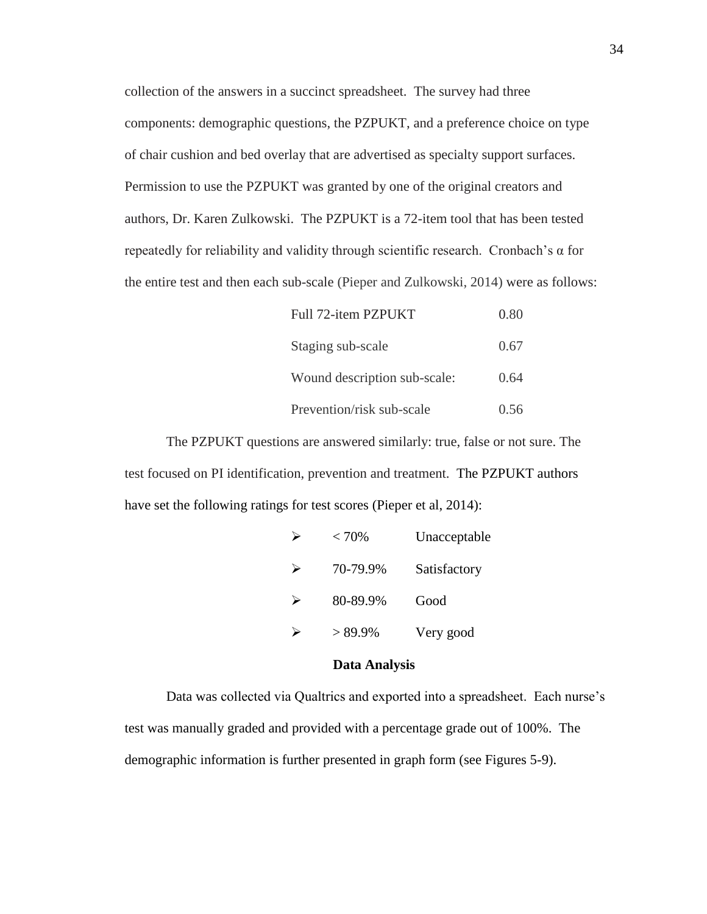collection of the answers in a succinct spreadsheet. The survey had three components: demographic questions, the PZPUKT, and a preference choice on type of chair cushion and bed overlay that are advertised as specialty support surfaces. Permission to use the PZPUKT was granted by one of the original creators and authors, Dr. Karen Zulkowski. The PZPUKT is a 72-item tool that has been tested repeatedly for reliability and validity through scientific research. Cronbach's α for the entire test and then each sub-scale (Pieper and Zulkowski, 2014) were as follows:

| Full 72-item PZPUKT          | 0.80 |
|------------------------------|------|
| Staging sub-scale            | 0.67 |
| Wound description sub-scale: | 0.64 |
| Prevention/risk sub-scale    | 0.56 |

The PZPUKT questions are answered similarly: true, false or not sure. The test focused on PI identification, prevention and treatment. The PZPUKT authors have set the following ratings for test scores (Pieper et al, 2014):

| ⋗ | < 70%     | Unacceptable |
|---|-----------|--------------|
| ➤ | 70-79.9%  | Satisfactory |
| ↘ | 80-89.9%  | Good         |
|   | $>89.9\%$ | Very good    |

#### **Data Analysis**

Data was collected via Qualtrics and exported into a spreadsheet. Each nurse's test was manually graded and provided with a percentage grade out of 100%. The demographic information is further presented in graph form (see Figures 5-9).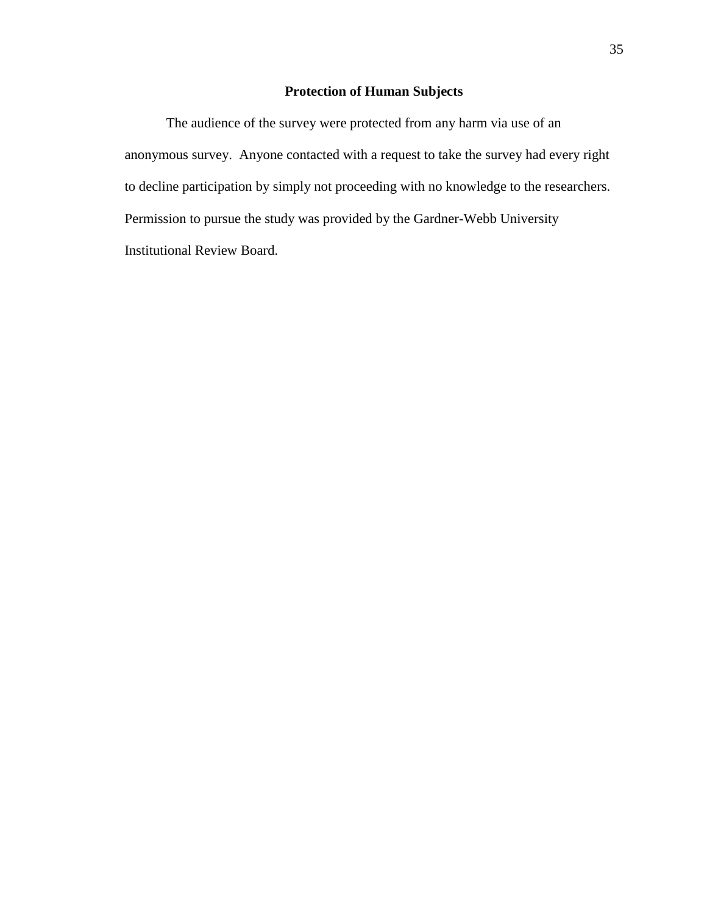### **Protection of Human Subjects**

The audience of the survey were protected from any harm via use of an anonymous survey. Anyone contacted with a request to take the survey had every right to decline participation by simply not proceeding with no knowledge to the researchers. Permission to pursue the study was provided by the Gardner-Webb University Institutional Review Board.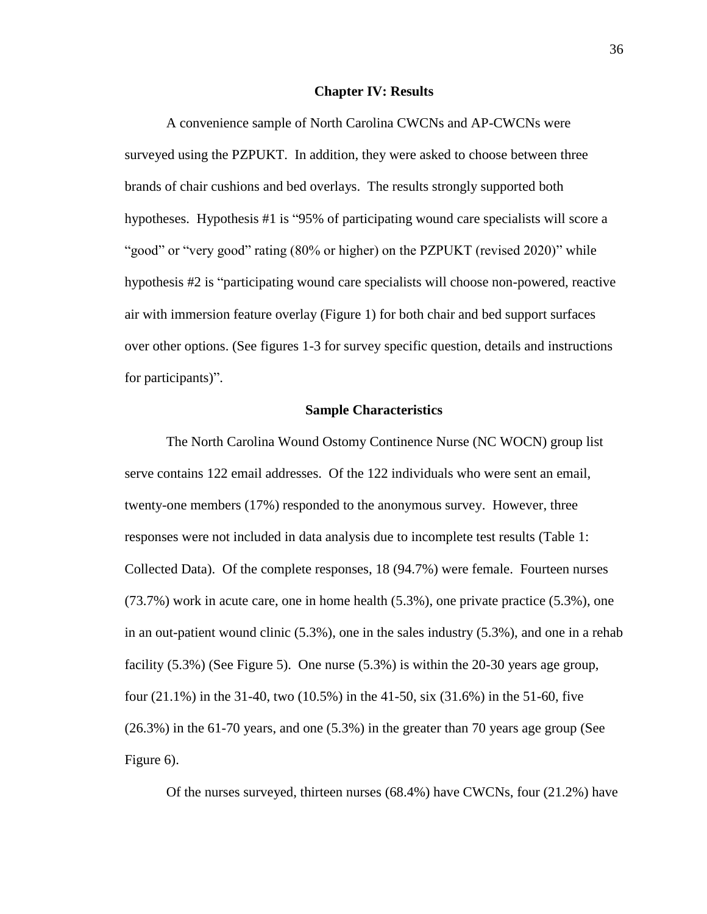#### **Chapter IV: Results**

A convenience sample of North Carolina CWCNs and AP-CWCNs were surveyed using the PZPUKT. In addition, they were asked to choose between three brands of chair cushions and bed overlays. The results strongly supported both hypotheses. Hypothesis #1 is "95% of participating wound care specialists will score a "good" or "very good" rating (80% or higher) on the PZPUKT (revised 2020)" while hypothesis #2 is "participating wound care specialists will choose non-powered, reactive air with immersion feature overlay (Figure 1) for both chair and bed support surfaces over other options. (See figures 1-3 for survey specific question, details and instructions for participants)".

#### **Sample Characteristics**

The North Carolina Wound Ostomy Continence Nurse (NC WOCN) group list serve contains 122 email addresses. Of the 122 individuals who were sent an email, twenty-one members (17%) responded to the anonymous survey. However, three responses were not included in data analysis due to incomplete test results (Table 1: Collected Data). Of the complete responses, 18 (94.7%) were female. Fourteen nurses (73.7%) work in acute care, one in home health (5.3%), one private practice (5.3%), one in an out-patient wound clinic (5.3%), one in the sales industry (5.3%), and one in a rehab facility (5.3%) (See Figure 5). One nurse (5.3%) is within the 20-30 years age group, four (21.1%) in the 31-40, two (10.5%) in the 41-50, six (31.6%) in the 51-60, five (26.3%) in the 61-70 years, and one (5.3%) in the greater than 70 years age group (See Figure 6).

Of the nurses surveyed, thirteen nurses (68.4%) have CWCNs, four (21.2%) have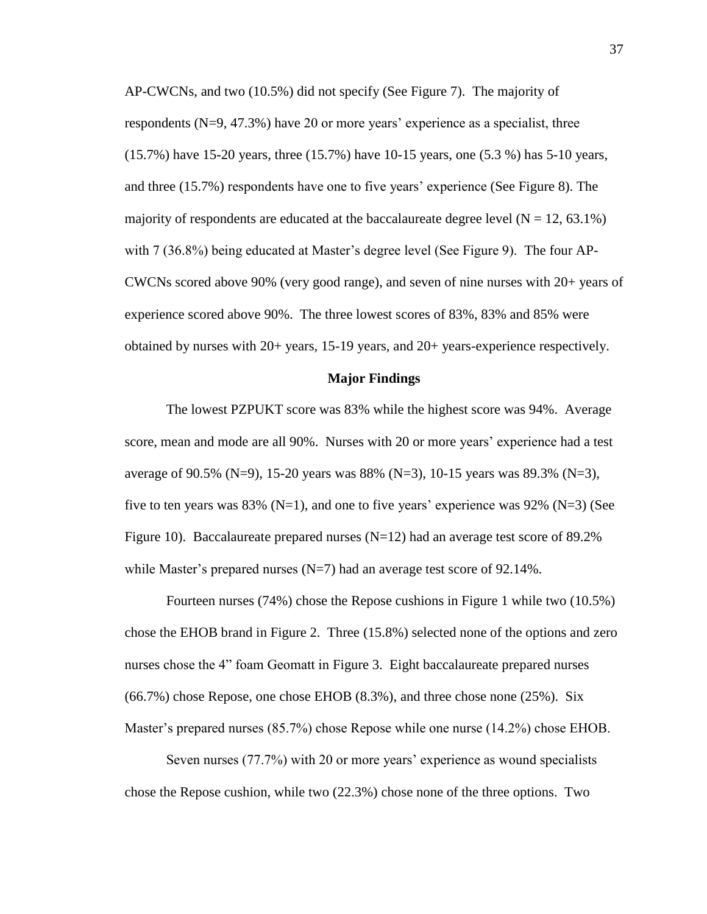AP-CWCNs, and two (10.5%) did not specify (See Figure 7). The majority of respondents (N=9, 47.3%) have 20 or more years' experience as a specialist, three (15.7%) have 15-20 years, three (15.7%) have 10-15 years, one (5.3 %) has 5-10 years, and three (15.7%) respondents have one to five years' experience (See Figure 8). The majority of respondents are educated at the baccalaureate degree level  $(N = 12, 63.1\%)$ with 7 (36.8%) being educated at Master's degree level (See Figure 9). The four AP-CWCNs scored above 90% (very good range), and seven of nine nurses with 20+ years of experience scored above 90%. The three lowest scores of 83%, 83% and 85% were obtained by nurses with 20+ years, 15-19 years, and 20+ years-experience respectively.

#### **Major Findings**

The lowest PZPUKT score was 83% while the highest score was 94%. Average score, mean and mode are all 90%. Nurses with 20 or more years' experience had a test average of 90.5% (N=9), 15-20 years was 88% (N=3), 10-15 years was 89.3% (N=3), five to ten years was  $83\%$  (N=1), and one to five years' experience was  $92\%$  (N=3) (See Figure 10). Baccalaureate prepared nurses  $(N=12)$  had an average test score of 89.2% while Master's prepared nurses  $(N=7)$  had an average test score of 92.14%.

Fourteen nurses (74%) chose the Repose cushions in Figure 1 while two (10.5%) chose the EHOB brand in Figure 2. Three (15.8%) selected none of the options and zero nurses chose the 4" foam Geomatt in Figure 3. Eight baccalaureate prepared nurses (66.7%) chose Repose, one chose EHOB (8.3%), and three chose none (25%). Six Master's prepared nurses (85.7%) chose Repose while one nurse (14.2%) chose EHOB.

Seven nurses (77.7%) with 20 or more years' experience as wound specialists chose the Repose cushion, while two (22.3%) chose none of the three options. Two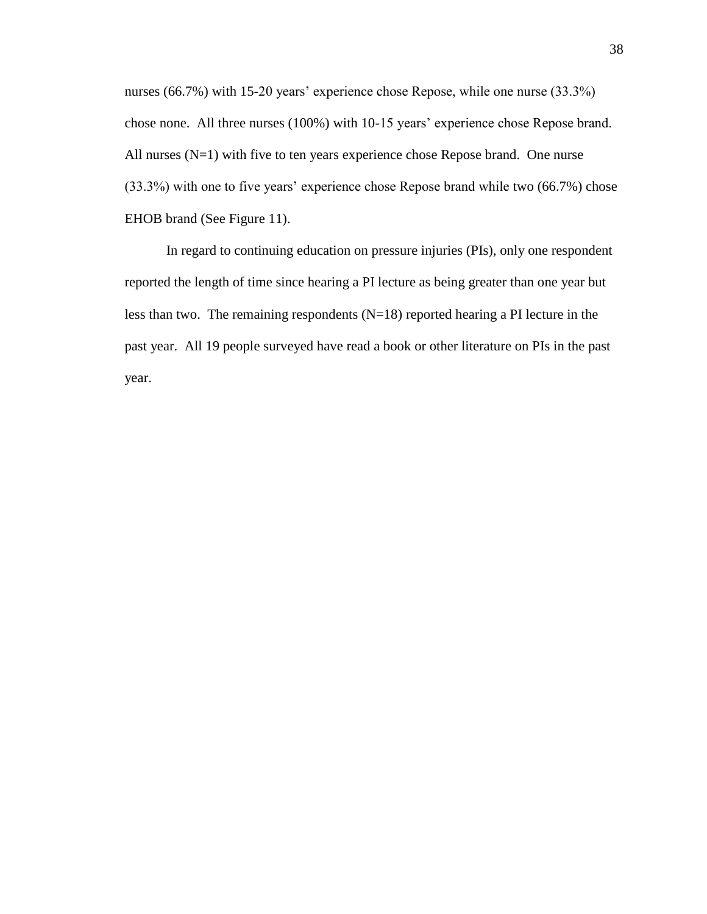nurses (66.7%) with 15-20 years' experience chose Repose, while one nurse (33.3%) chose none. All three nurses (100%) with 10-15 years' experience chose Repose brand. All nurses (N=1) with five to ten years experience chose Repose brand. One nurse (33.3%) with one to five years' experience chose Repose brand while two (66.7%) chose EHOB brand (See Figure 11).

In regard to continuing education on pressure injuries (PIs), only one respondent reported the length of time since hearing a PI lecture as being greater than one year but less than two. The remaining respondents  $(N=18)$  reported hearing a PI lecture in the past year. All 19 people surveyed have read a book or other literature on PIs in the past year.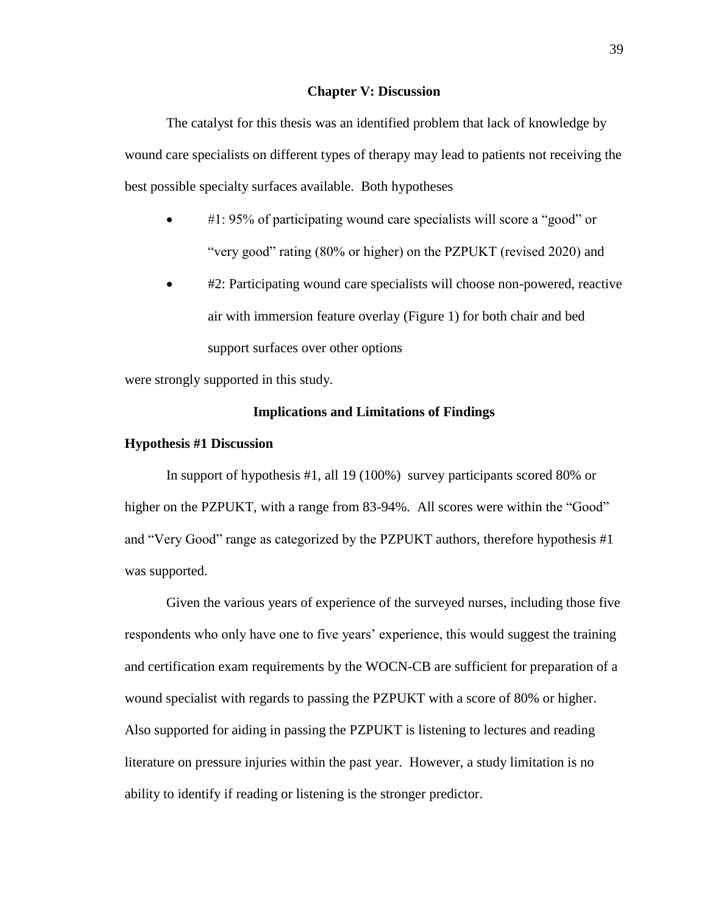#### **Chapter V: Discussion**

The catalyst for this thesis was an identified problem that lack of knowledge by wound care specialists on different types of therapy may lead to patients not receiving the best possible specialty surfaces available. Both hypotheses

- #1: 95% of participating wound care specialists will score a "good" or "very good" rating (80% or higher) on the PZPUKT (revised 2020) and
- #2: Participating wound care specialists will choose non-powered, reactive air with immersion feature overlay (Figure 1) for both chair and bed support surfaces over other options

were strongly supported in this study.

#### **Implications and Limitations of Findings**

#### **Hypothesis #1 Discussion**

In support of hypothesis #1, all 19 (100%) survey participants scored 80% or higher on the PZPUKT, with a range from 83-94%. All scores were within the "Good" and "Very Good" range as categorized by the PZPUKT authors, therefore hypothesis #1 was supported.

Given the various years of experience of the surveyed nurses, including those five respondents who only have one to five years' experience, this would suggest the training and certification exam requirements by the WOCN-CB are sufficient for preparation of a wound specialist with regards to passing the PZPUKT with a score of 80% or higher. Also supported for aiding in passing the PZPUKT is listening to lectures and reading literature on pressure injuries within the past year. However, a study limitation is no ability to identify if reading or listening is the stronger predictor.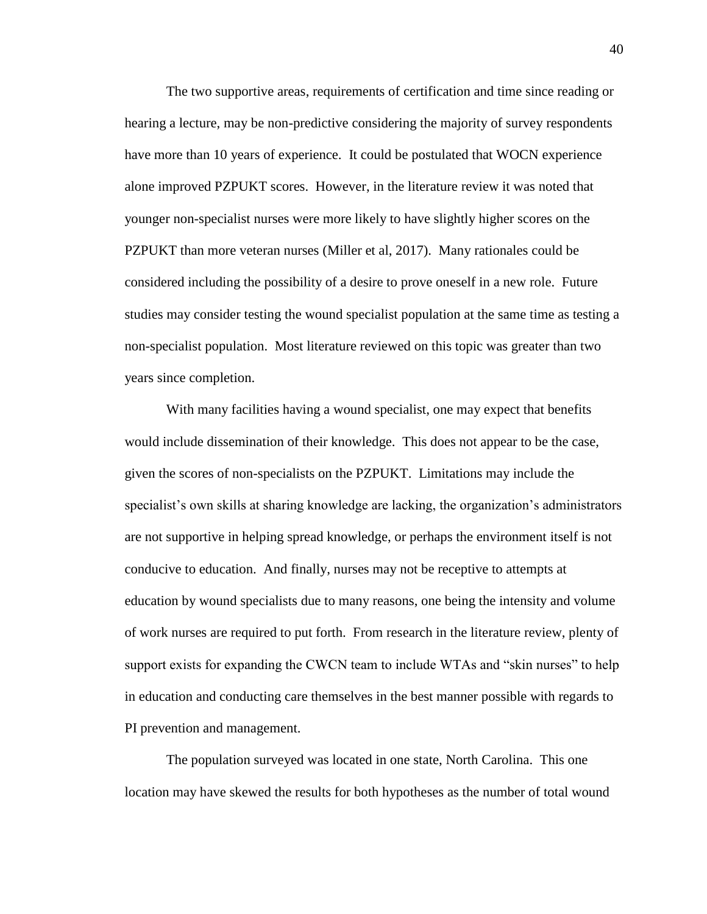The two supportive areas, requirements of certification and time since reading or hearing a lecture, may be non-predictive considering the majority of survey respondents have more than 10 years of experience. It could be postulated that WOCN experience alone improved PZPUKT scores. However, in the literature review it was noted that younger non-specialist nurses were more likely to have slightly higher scores on the PZPUKT than more veteran nurses (Miller et al, 2017). Many rationales could be considered including the possibility of a desire to prove oneself in a new role. Future studies may consider testing the wound specialist population at the same time as testing a non-specialist population. Most literature reviewed on this topic was greater than two years since completion.

With many facilities having a wound specialist, one may expect that benefits would include dissemination of their knowledge. This does not appear to be the case, given the scores of non-specialists on the PZPUKT. Limitations may include the specialist's own skills at sharing knowledge are lacking, the organization's administrators are not supportive in helping spread knowledge, or perhaps the environment itself is not conducive to education. And finally, nurses may not be receptive to attempts at education by wound specialists due to many reasons, one being the intensity and volume of work nurses are required to put forth. From research in the literature review, plenty of support exists for expanding the CWCN team to include WTAs and "skin nurses" to help in education and conducting care themselves in the best manner possible with regards to PI prevention and management.

The population surveyed was located in one state, North Carolina. This one location may have skewed the results for both hypotheses as the number of total wound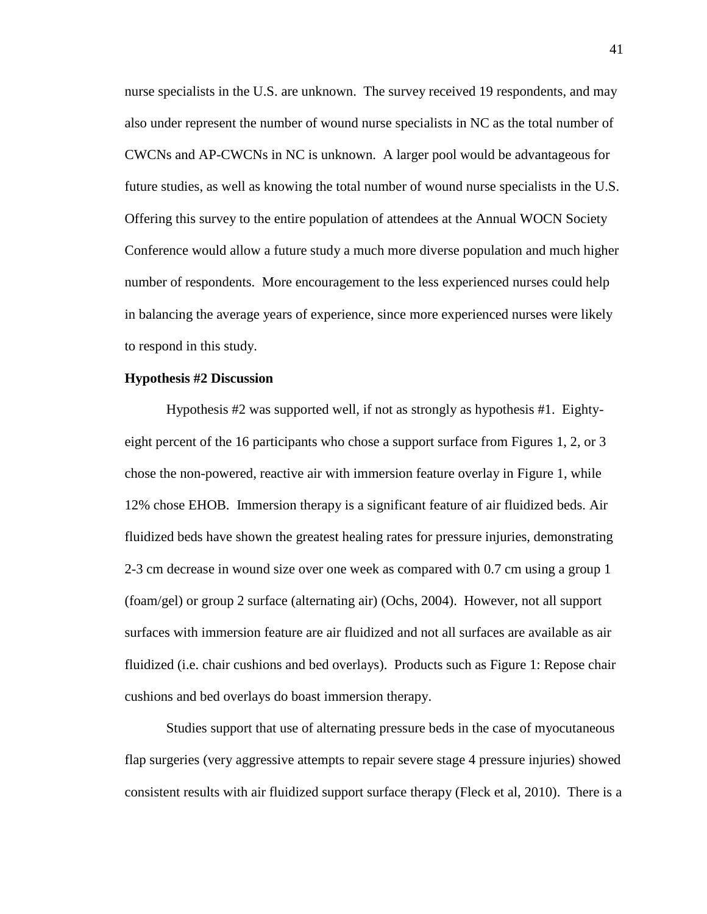nurse specialists in the U.S. are unknown. The survey received 19 respondents, and may also under represent the number of wound nurse specialists in NC as the total number of CWCNs and AP-CWCNs in NC is unknown. A larger pool would be advantageous for future studies, as well as knowing the total number of wound nurse specialists in the U.S. Offering this survey to the entire population of attendees at the Annual WOCN Society Conference would allow a future study a much more diverse population and much higher number of respondents. More encouragement to the less experienced nurses could help in balancing the average years of experience, since more experienced nurses were likely to respond in this study.

#### **Hypothesis #2 Discussion**

Hypothesis #2 was supported well, if not as strongly as hypothesis #1. Eightyeight percent of the 16 participants who chose a support surface from Figures 1, 2, or 3 chose the non-powered, reactive air with immersion feature overlay in Figure 1, while 12% chose EHOB. Immersion therapy is a significant feature of air fluidized beds. Air fluidized beds have shown the greatest healing rates for pressure injuries, demonstrating 2-3 cm decrease in wound size over one week as compared with 0.7 cm using a group 1 (foam/gel) or group 2 surface (alternating air) (Ochs, 2004). However, not all support surfaces with immersion feature are air fluidized and not all surfaces are available as air fluidized (i.e. chair cushions and bed overlays). Products such as Figure 1: Repose chair cushions and bed overlays do boast immersion therapy.

Studies support that use of alternating pressure beds in the case of myocutaneous flap surgeries (very aggressive attempts to repair severe stage 4 pressure injuries) showed consistent results with air fluidized support surface therapy (Fleck et al, 2010). There is a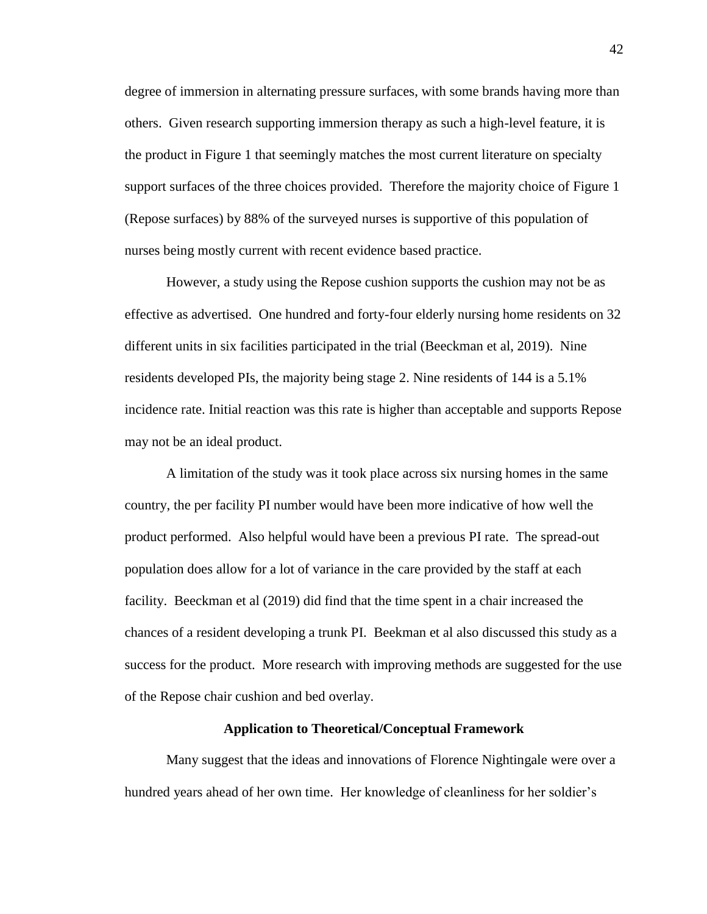degree of immersion in alternating pressure surfaces, with some brands having more than others. Given research supporting immersion therapy as such a high-level feature, it is the product in Figure 1 that seemingly matches the most current literature on specialty support surfaces of the three choices provided. Therefore the majority choice of Figure 1 (Repose surfaces) by 88% of the surveyed nurses is supportive of this population of nurses being mostly current with recent evidence based practice.

However, a study using the Repose cushion supports the cushion may not be as effective as advertised. One hundred and forty-four elderly nursing home residents on 32 different units in six facilities participated in the trial (Beeckman et al, 2019). Nine residents developed PIs, the majority being stage 2. Nine residents of 144 is a 5.1% incidence rate. Initial reaction was this rate is higher than acceptable and supports Repose may not be an ideal product.

A limitation of the study was it took place across six nursing homes in the same country, the per facility PI number would have been more indicative of how well the product performed. Also helpful would have been a previous PI rate. The spread-out population does allow for a lot of variance in the care provided by the staff at each facility. Beeckman et al (2019) did find that the time spent in a chair increased the chances of a resident developing a trunk PI. Beekman et al also discussed this study as a success for the product. More research with improving methods are suggested for the use of the Repose chair cushion and bed overlay.

#### **Application to Theoretical/Conceptual Framework**

Many suggest that the ideas and innovations of Florence Nightingale were over a hundred years ahead of her own time. Her knowledge of cleanliness for her soldier's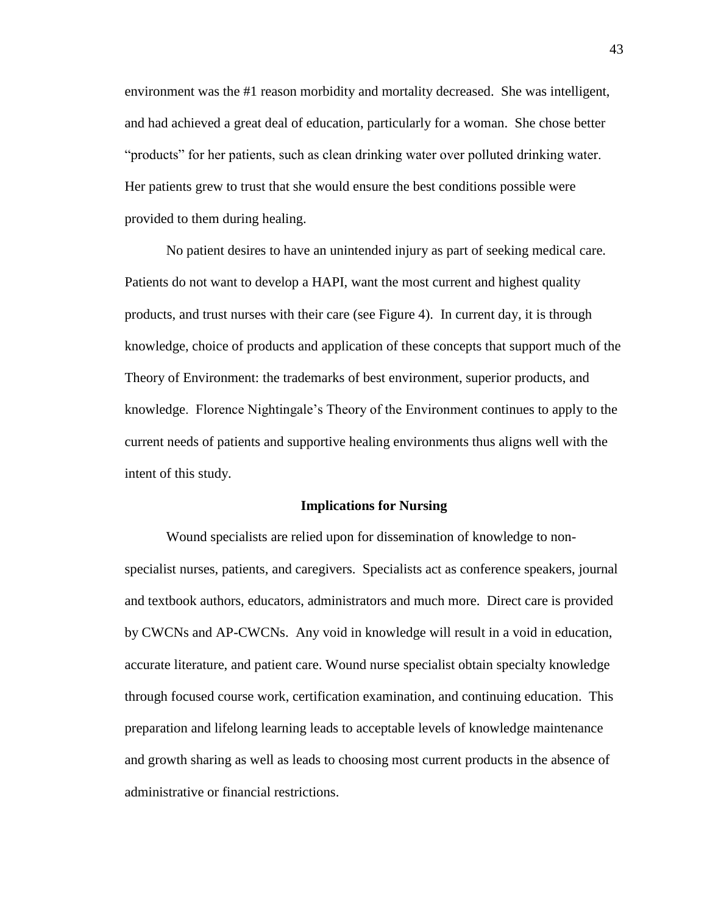environment was the #1 reason morbidity and mortality decreased. She was intelligent, and had achieved a great deal of education, particularly for a woman. She chose better "products" for her patients, such as clean drinking water over polluted drinking water. Her patients grew to trust that she would ensure the best conditions possible were provided to them during healing.

No patient desires to have an unintended injury as part of seeking medical care. Patients do not want to develop a HAPI, want the most current and highest quality products, and trust nurses with their care (see Figure 4). In current day, it is through knowledge, choice of products and application of these concepts that support much of the Theory of Environment: the trademarks of best environment, superior products, and knowledge. Florence Nightingale's Theory of the Environment continues to apply to the current needs of patients and supportive healing environments thus aligns well with the intent of this study.

#### **Implications for Nursing**

Wound specialists are relied upon for dissemination of knowledge to nonspecialist nurses, patients, and caregivers. Specialists act as conference speakers, journal and textbook authors, educators, administrators and much more. Direct care is provided by CWCNs and AP-CWCNs. Any void in knowledge will result in a void in education, accurate literature, and patient care. Wound nurse specialist obtain specialty knowledge through focused course work, certification examination, and continuing education. This preparation and lifelong learning leads to acceptable levels of knowledge maintenance and growth sharing as well as leads to choosing most current products in the absence of administrative or financial restrictions.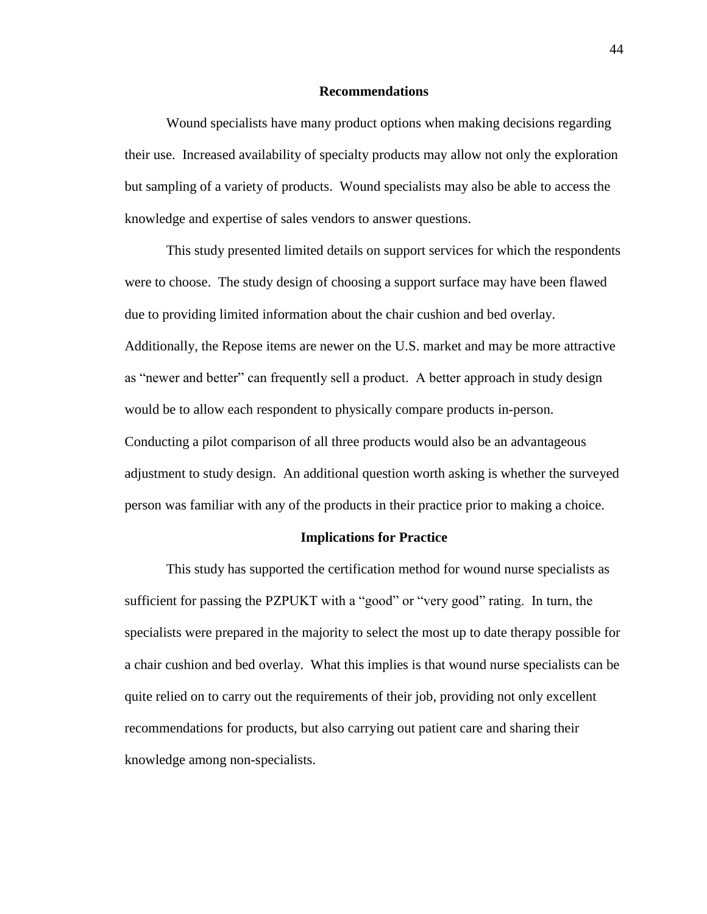#### **Recommendations**

Wound specialists have many product options when making decisions regarding their use. Increased availability of specialty products may allow not only the exploration but sampling of a variety of products. Wound specialists may also be able to access the knowledge and expertise of sales vendors to answer questions.

This study presented limited details on support services for which the respondents were to choose. The study design of choosing a support surface may have been flawed due to providing limited information about the chair cushion and bed overlay. Additionally, the Repose items are newer on the U.S. market and may be more attractive as "newer and better" can frequently sell a product. A better approach in study design would be to allow each respondent to physically compare products in-person. Conducting a pilot comparison of all three products would also be an advantageous adjustment to study design. An additional question worth asking is whether the surveyed person was familiar with any of the products in their practice prior to making a choice.

#### **Implications for Practice**

This study has supported the certification method for wound nurse specialists as sufficient for passing the PZPUKT with a "good" or "very good" rating. In turn, the specialists were prepared in the majority to select the most up to date therapy possible for a chair cushion and bed overlay. What this implies is that wound nurse specialists can be quite relied on to carry out the requirements of their job, providing not only excellent recommendations for products, but also carrying out patient care and sharing their knowledge among non-specialists.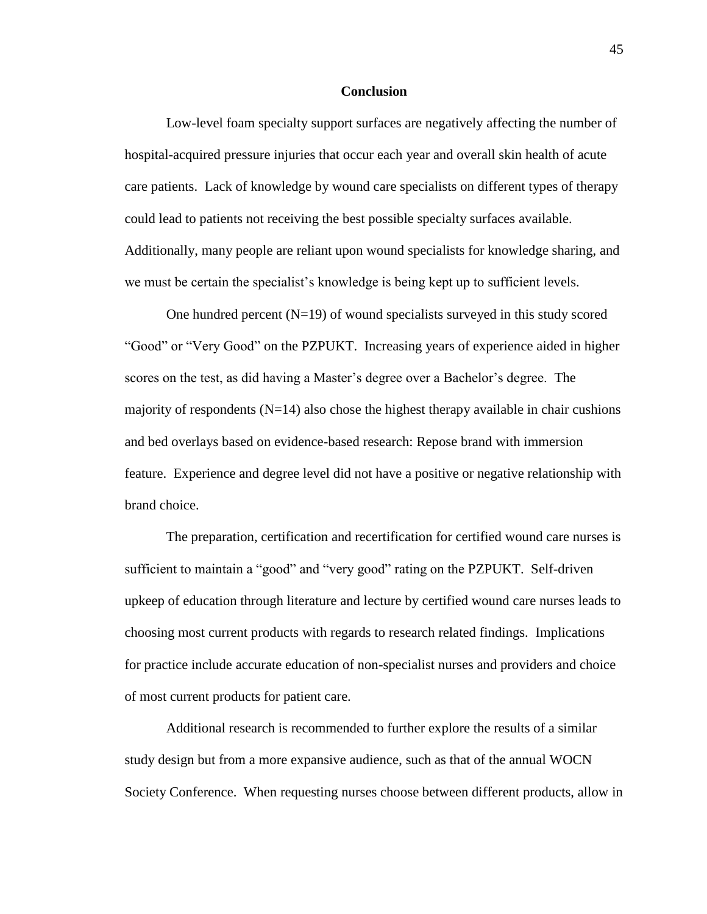#### **Conclusion**

Low-level foam specialty support surfaces are negatively affecting the number of hospital-acquired pressure injuries that occur each year and overall skin health of acute care patients. Lack of knowledge by wound care specialists on different types of therapy could lead to patients not receiving the best possible specialty surfaces available. Additionally, many people are reliant upon wound specialists for knowledge sharing, and we must be certain the specialist's knowledge is being kept up to sufficient levels.

One hundred percent  $(N=19)$  of wound specialists surveyed in this study scored "Good" or "Very Good" on the PZPUKT. Increasing years of experience aided in higher scores on the test, as did having a Master's degree over a Bachelor's degree. The majority of respondents  $(N=14)$  also chose the highest therapy available in chair cushions and bed overlays based on evidence-based research: Repose brand with immersion feature. Experience and degree level did not have a positive or negative relationship with brand choice.

The preparation, certification and recertification for certified wound care nurses is sufficient to maintain a "good" and "very good" rating on the PZPUKT. Self-driven upkeep of education through literature and lecture by certified wound care nurses leads to choosing most current products with regards to research related findings. Implications for practice include accurate education of non-specialist nurses and providers and choice of most current products for patient care.

Additional research is recommended to further explore the results of a similar study design but from a more expansive audience, such as that of the annual WOCN Society Conference. When requesting nurses choose between different products, allow in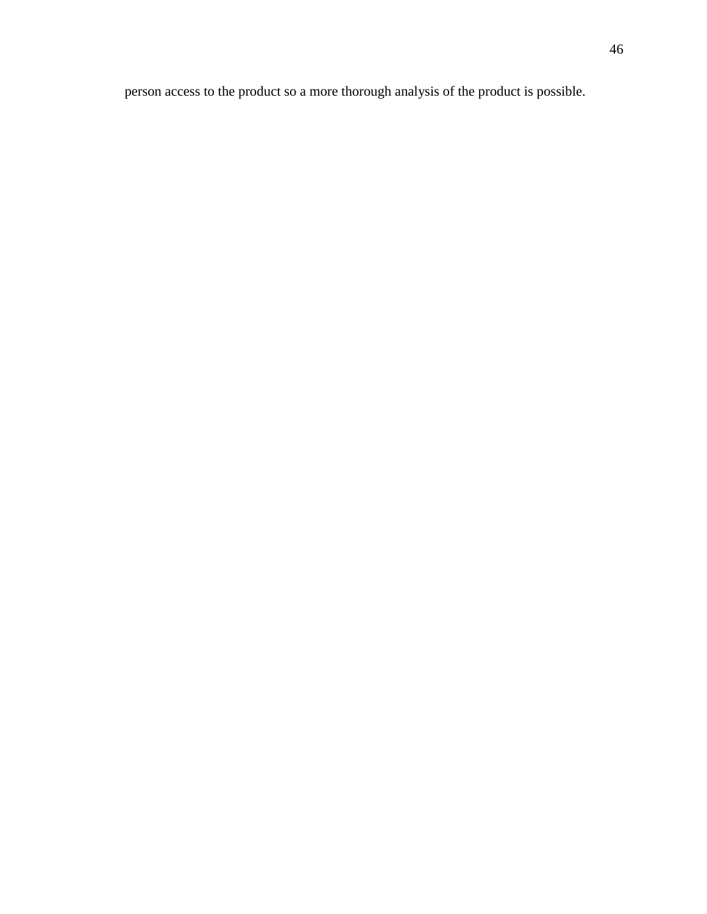person access to the product so a more thorough analysis of the product is possible.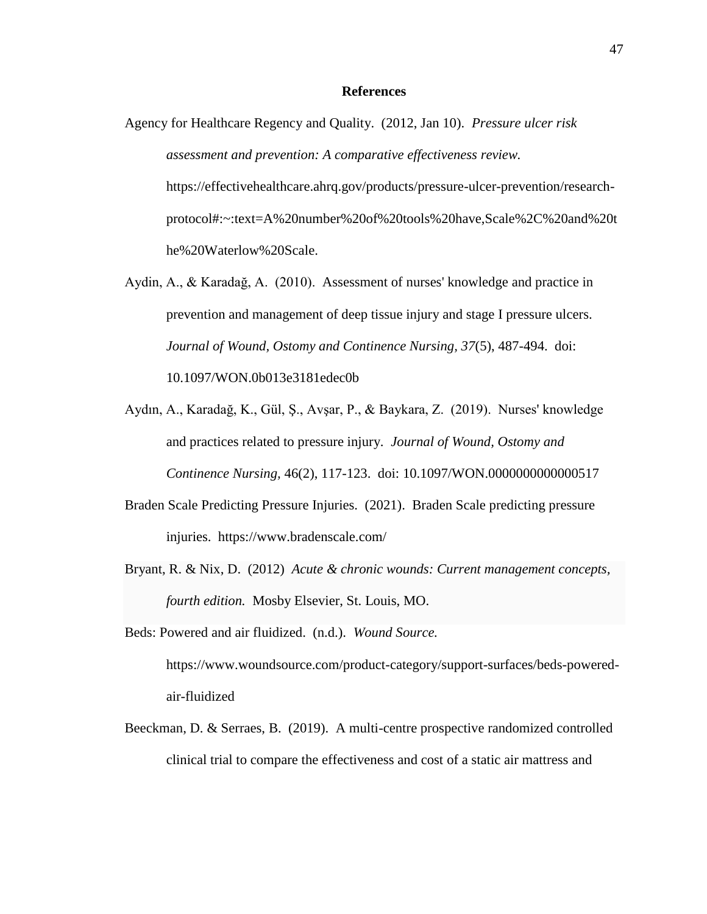#### **References**

- Agency for Healthcare Regency and Quality. (2012, Jan 10). *Pressure ulcer risk assessment and prevention: A comparative effectiveness review.* https://effectivehealthcare.ahrq.gov/products/pressure-ulcer-prevention/researchprotocol#:~:text=A%20number%20of%20tools%20have,Scale%2C%20and%20t he%20Waterlow%20Scale.
- Aydin, A., & Karadağ, A. (2010). Assessment of nurses' knowledge and practice in prevention and management of deep tissue injury and stage I pressure ulcers. *Journal of Wound, Ostomy and Continence Nursing, 37*(5), 487-494. doi: 10.1097/WON.0b013e3181edec0b
- Aydın, A., Karadağ, K., Gül, Ş., Avşar, P., & Baykara, Z. (2019). Nurses' knowledge and practices related to pressure injury. *Journal of Wound, Ostomy and Continence Nursing,* 46(2), 117-123. doi: 10.1097/WON.0000000000000517
- Braden Scale Predicting Pressure Injuries. (2021). Braden Scale predicting pressure injuries. https://www.bradenscale.com/
- Bryant, R. & Nix, D. (2012) *Acute & chronic wounds: Current management concepts, fourth edition.* Mosby Elsevier, St. Louis, MO.
- Beds: Powered and air fluidized. (n.d.). *Wound Source.* https://www.woundsource.com/product-category/support-surfaces/beds-poweredair-fluidized
- Beeckman, D. & Serraes, B. (2019). A multi-centre prospective randomized controlled clinical trial to compare the effectiveness and cost of a static air mattress and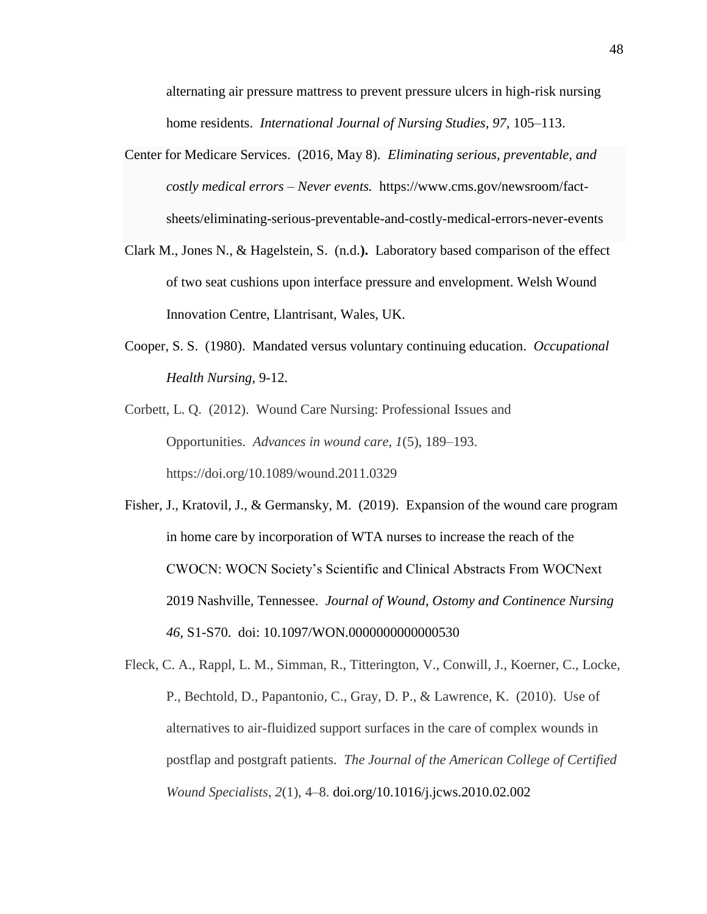alternating air pressure mattress to prevent pressure ulcers in high-risk nursing home residents. *International Journal of Nursing Studies*, 97, 105–113.

- Center for Medicare Services. (2016, May 8). *Eliminating serious, preventable, and costly medical errors – Never events.* https://www.cms.gov/newsroom/factsheets/eliminating-serious-preventable-and-costly-medical-errors-never-events
- Clark M., Jones N., & Hagelstein, S. (n.d.**).** Laboratory based comparison of the effect of two seat cushions upon interface pressure and envelopment. Welsh Wound Innovation Centre, Llantrisant, Wales, UK.
- Cooper, S. S. (1980). Mandated versus voluntary continuing education. *Occupational Health Nursing,* 9-12.
- Corbett, L. Q. (2012). Wound Care Nursing: Professional Issues and Opportunities. *Advances in wound care*, *1*(5), 189–193. https://doi.org/10.1089/wound.2011.0329

Fisher, J., Kratovil, J., & Germansky, M. (2019). Expansion of the wound care program in home care by incorporation of WTA nurses to increase the reach of the CWOCN: WOCN Society's Scientific and Clinical Abstracts From WOCNext 2019 Nashville, Tennessee. *Journal of Wound, Ostomy and Continence Nursing 46,* S1-S70. doi: 10.1097/WON.0000000000000530

Fleck, C. A., Rappl, L. M., Simman, R., Titterington, V., Conwill, J., Koerner, C., Locke, P., Bechtold, D., Papantonio, C., Gray, D. P., & Lawrence, K. (2010). Use of alternatives to air-fluidized support surfaces in the care of complex wounds in postflap and postgraft patients. *The Journal of the American College of Certified Wound Specialists*, *2*(1), 4–8. doi.org/10.1016/j.jcws.2010.02.002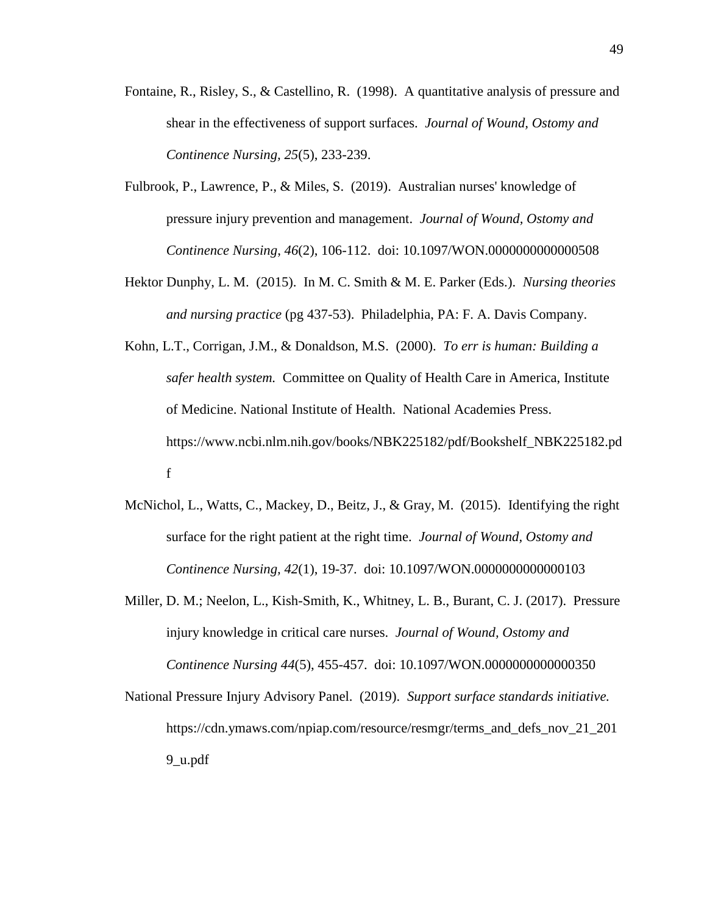- Fontaine, R., Risley, S., & Castellino, R. (1998). A quantitative analysis of pressure and shear in the effectiveness of support surfaces. *Journal of Wound, Ostomy and Continence Nursing, 25*(5), 233-239.
- Fulbrook, P., Lawrence, P., & Miles, S. (2019). Australian nurses' knowledge of pressure injury prevention and management. *Journal of Wound, Ostomy and Continence Nursing*, *46*(2), 106-112. doi: 10.1097/WON.0000000000000508
- Hektor Dunphy, L. M. (2015). In M. C. Smith & M. E. Parker (Eds.). *Nursing theories and nursing practice* (pg 437-53). Philadelphia, PA: F. A. Davis Company.
- Kohn, L.T., Corrigan, J.M., & Donaldson, M.S. (2000). *To err is human: Building a safer health system.* Committee on Quality of Health Care in America, Institute of Medicine. National Institute of Health. National Academies Press. https://www.ncbi.nlm.nih.gov/books/NBK225182/pdf/Bookshelf\_NBK225182.pd f
- McNichol, L., Watts, C., Mackey, D., Beitz, J., & Gray, M. (2015). Identifying the right surface for the right patient at the right time. *Journal of Wound, Ostomy and Continence Nursing, 42*(1), 19-37. doi: 10.1097/WON.0000000000000103
- Miller, D. M.; Neelon, L., Kish-Smith, K., Whitney, L. B., Burant, C. J. (2017). Pressure injury knowledge in critical care nurses. *Journal of Wound, Ostomy and Continence Nursing 44*(5), 455-457. doi: 10.1097/WON.0000000000000350
- National Pressure Injury Advisory Panel. (2019). *Support surface standards initiative.* https://cdn.ymaws.com/npiap.com/resource/resmgr/terms\_and\_defs\_nov\_21\_201 9\_u.pdf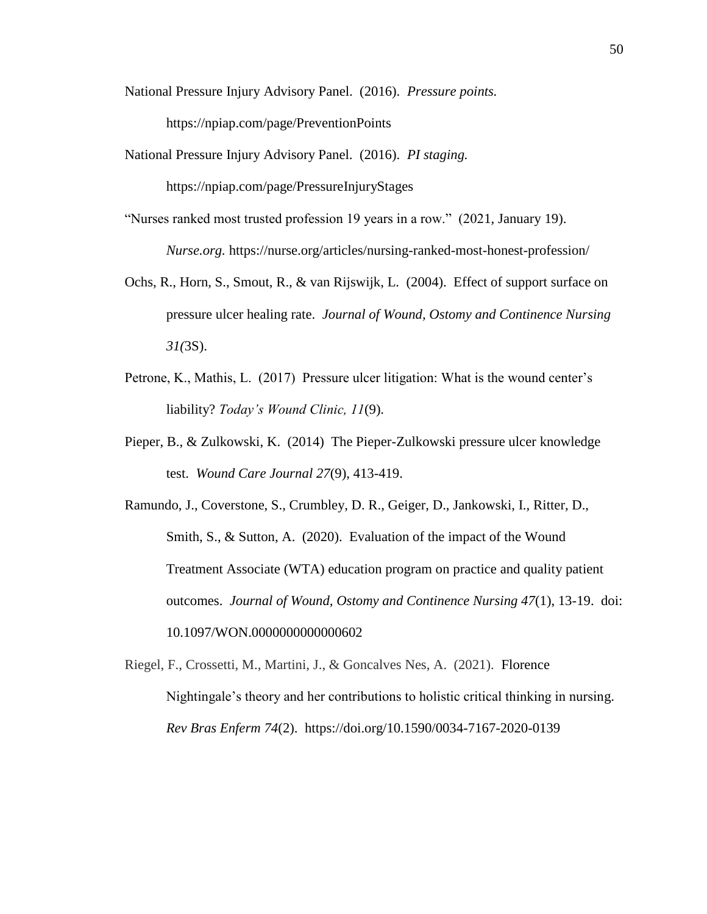National Pressure Injury Advisory Panel. (2016). *Pressure points.*

https://npiap.com/page/PreventionPoints

National Pressure Injury Advisory Panel. (2016). *PI staging.*

https://npiap.com/page/PressureInjuryStages

- "Nurses ranked most trusted profession 19 years in a row." (2021, January 19). *Nurse.org.* https://nurse.org/articles/nursing-ranked-most-honest-profession/
- Ochs, R., Horn, S., Smout, R., & van Rijswijk, L. (2004). Effect of support surface on pressure ulcer healing rate. *Journal of Wound, Ostomy and Continence Nursing 31(*3S).
- Petrone, K., Mathis, L. (2017) Pressure ulcer litigation: What is the wound center's liability? *Today's Wound Clinic, 11*(9).
- Pieper, B., & Zulkowski, K. (2014) The Pieper-Zulkowski pressure ulcer knowledge test. *Wound Care Journal 27*(9), 413-419.
- Ramundo, J., Coverstone, S., Crumbley, D. R., Geiger, D., Jankowski, I., Ritter, D., Smith, S., & Sutton, A. (2020). Evaluation of the impact of the Wound Treatment Associate (WTA) education program on practice and quality patient outcomes. *Journal of Wound, Ostomy and Continence Nursing 47*(1), 13-19. doi: 10.1097/WON.0000000000000602
- Riegel, F., Crossetti, M., Martini, J., & Goncalves Nes, A. (2021). Florence Nightingale's theory and her contributions to holistic critical thinking in nursing. *Rev Bras Enferm 74*(2). https://doi.org/10.1590/0034-7167-2020-0139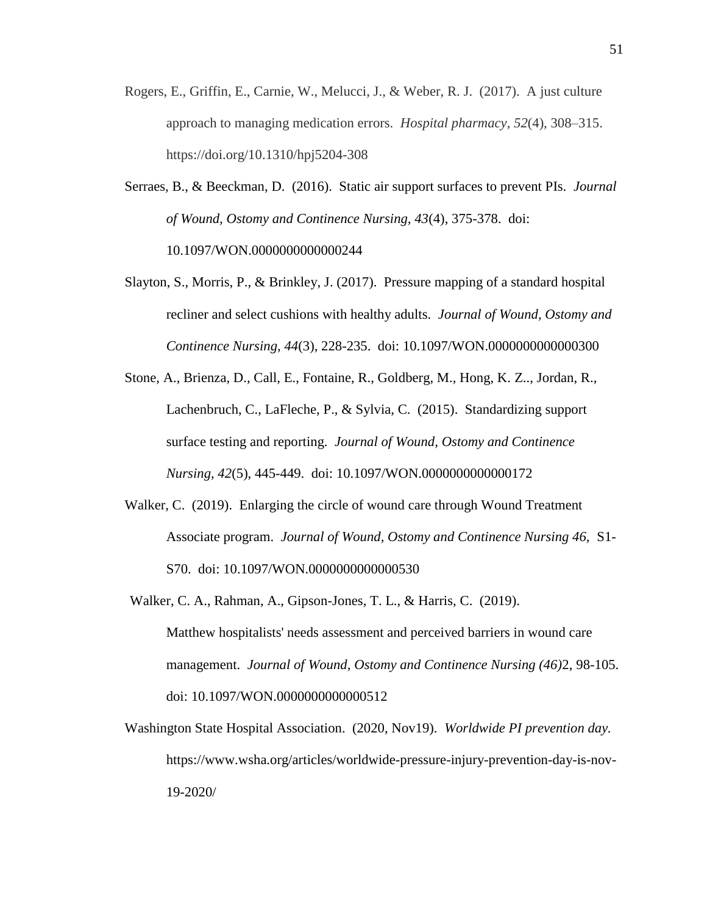- Rogers, E., Griffin, E., Carnie, W., Melucci, J., & Weber, R. J. (2017). A just culture approach to managing medication errors. *Hospital pharmacy*, *52*(4), 308–315. https://doi.org/10.1310/hpj5204-308
- Serraes, B., & Beeckman, D. (2016). Static air support surfaces to prevent PIs. *Journal of Wound, Ostomy and Continence Nursing, 43*(4), 375-378. doi: 10.1097/WON.0000000000000244
- Slayton, S., Morris, P., & Brinkley, J. (2017). Pressure mapping of a standard hospital recliner and select cushions with healthy adults. *Journal of Wound, Ostomy and Continence Nursing, 44*(3), 228-235. doi: 10.1097/WON.0000000000000300
- Stone, A., Brienza, D., Call, E., Fontaine, R., Goldberg, M., Hong, K. Z.., Jordan, R., Lachenbruch, C., LaFleche, P., & Sylvia, C. (2015). Standardizing support surface testing and reporting. *Journal of Wound, Ostomy and Continence Nursing, 42*(5), 445-449. doi: 10.1097/WON.0000000000000172
- Walker, C. (2019).Enlarging the circle of wound care through Wound Treatment Associate program. *Journal of Wound, Ostomy and Continence Nursing 46,* S1- S70. doi: 10.1097/WON.0000000000000530
- Walker, C. A., Rahman, A., Gipson-Jones, T. L., & Harris, C. (2019). Matthew hospitalists' needs assessment and perceived barriers in wound care management. *Journal of Wound, Ostomy and Continence Nursing (46)*2, 98-105. doi: 10.1097/WON.0000000000000512
- Washington State Hospital Association. (2020, Nov19). *Worldwide PI prevention day.*  https://www.wsha.org/articles/worldwide-pressure-injury-prevention-day-is-nov-19-2020/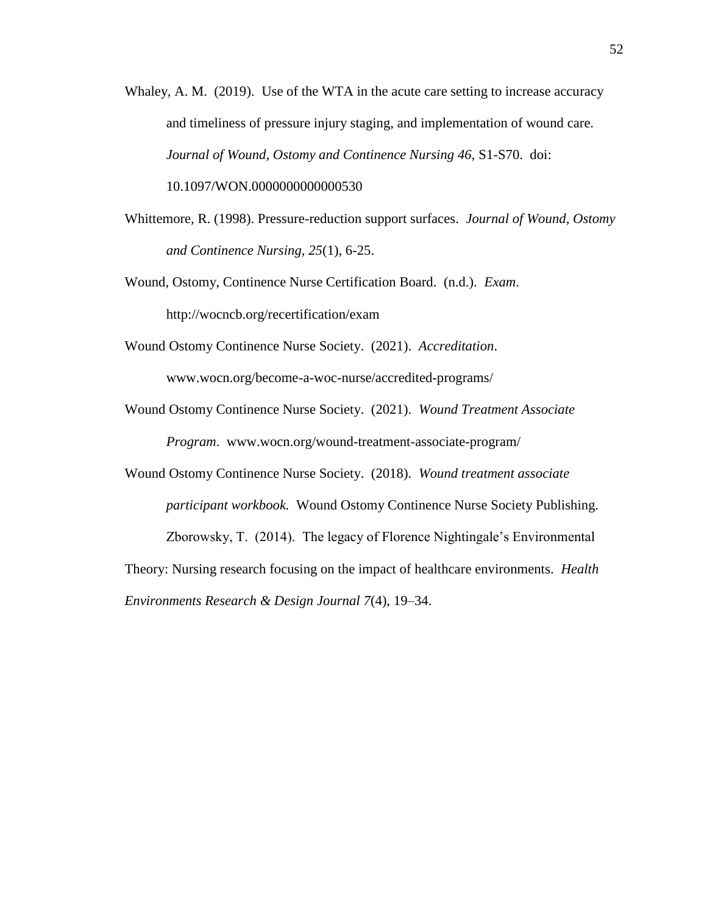- Whaley, A. M. (2019). Use of the WTA in the acute care setting to increase accuracy and timeliness of pressure injury staging, and implementation of wound care. *Journal of Wound, Ostomy and Continence Nursing 46,* S1-S70. doi: 10.1097/WON.0000000000000530
- Whittemore, R. (1998). Pressure-reduction support surfaces. *Journal of Wound, Ostomy and Continence Nursing, 25*(1), 6-25.

Wound, Ostomy, Continence Nurse Certification Board. (n.d.). *Exam*. http://wocncb.org/recertification/exam

Wound Ostomy Continence Nurse Society. (2021). *Accreditation*.

www.wocn.org/become-a-woc-nurse/accredited-programs/

Wound Ostomy Continence Nurse Society. (2021). *Wound Treatment Associate Program*. www.wocn.org/wound-treatment-associate-program/

Wound Ostomy Continence Nurse Society. (2018). *Wound treatment associate participant workbook.* Wound Ostomy Continence Nurse Society Publishing. Zborowsky, T. (2014). The legacy of Florence Nightingale's Environmental Theory: Nursing research focusing on the impact of healthcare environments. *Health Environments Research & Design Journal 7*(4), 19–34.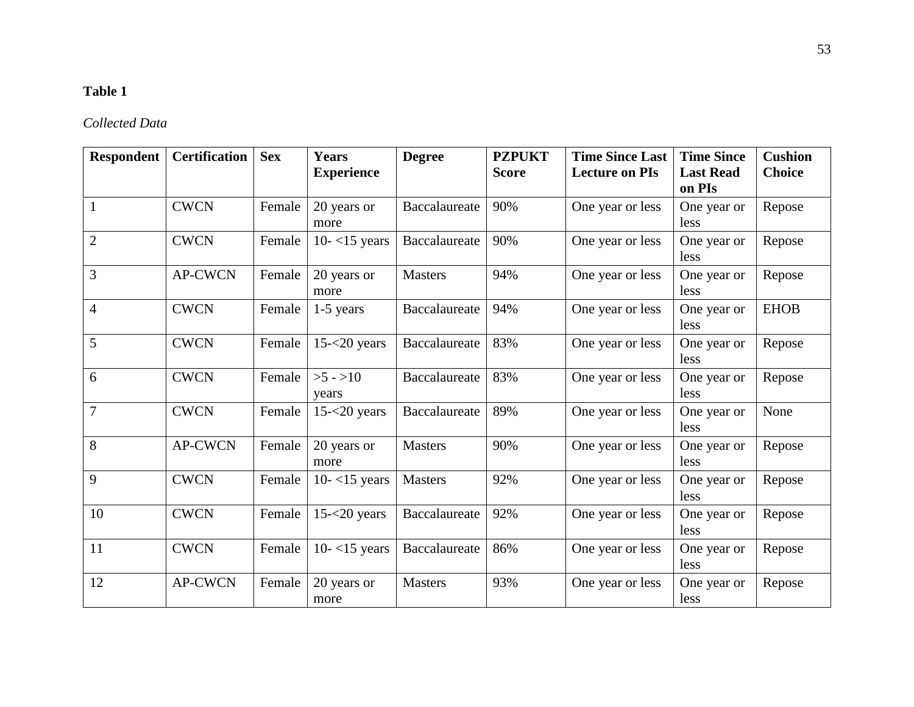# **Table 1**

## *Collected Data*

| <b>Respondent</b> | <b>Certification</b> | <b>Sex</b> | <b>Years</b><br><b>Experience</b> | <b>Degree</b>  | <b>PZPUKT</b><br><b>Score</b> | <b>Time Since Last</b><br><b>Lecture on PIs</b> | <b>Time Since</b><br><b>Last Read</b><br>on PIs | <b>Cushion</b><br><b>Choice</b> |
|-------------------|----------------------|------------|-----------------------------------|----------------|-------------------------------|-------------------------------------------------|-------------------------------------------------|---------------------------------|
| $\mathbf{1}$      | <b>CWCN</b>          | Female     | 20 years or<br>more               | Baccalaureate  | 90%                           | One year or less                                | One year or<br>less                             | Repose                          |
| $\overline{2}$    | <b>CWCN</b>          | Female     | $10 - 15$ years                   | Baccalaureate  | 90%                           | One year or less                                | One year or<br>less                             | Repose                          |
| 3                 | <b>AP-CWCN</b>       | Female     | 20 years or<br>more               | <b>Masters</b> | 94%                           | One year or less                                | One year or<br>less                             | Repose                          |
| $\overline{4}$    | <b>CWCN</b>          | Female     | $1-5$ years                       | Baccalaureate  | 94%                           | One year or less                                | One year or<br>less                             | <b>EHOB</b>                     |
| 5                 | <b>CWCN</b>          | Female     | $15 - 20$ years                   | Baccalaureate  | 83%                           | One year or less                                | One year or<br>less                             | Repose                          |
| 6                 | <b>CWCN</b>          | Female     | $>5 - 10$<br>years                | Baccalaureate  | 83%                           | One year or less                                | One year or<br>less                             | Repose                          |
| $\overline{7}$    | <b>CWCN</b>          | Female     | $15 - 20$ years                   | Baccalaureate  | 89%                           | One year or less                                | One year or<br>less                             | None                            |
| 8                 | <b>AP-CWCN</b>       | Female     | 20 years or<br>more               | <b>Masters</b> | 90%                           | One year or less                                | One year or<br>less                             | Repose                          |
| 9                 | <b>CWCN</b>          | Female     | $10 - 15$ years                   | <b>Masters</b> | 92%                           | One year or less                                | One year or<br>less                             | Repose                          |
| 10                | <b>CWCN</b>          | Female     | $15 - 20$ years                   | Baccalaureate  | 92%                           | One year or less                                | One year or<br>less                             | Repose                          |
| 11                | <b>CWCN</b>          | Female     | $10 - 15$ years                   | Baccalaureate  | 86%                           | One year or less                                | One year or<br>less                             | Repose                          |
| 12                | <b>AP-CWCN</b>       | Female     | 20 years or<br>more               | <b>Masters</b> | 93%                           | One year or less                                | One year or<br>less                             | Repose                          |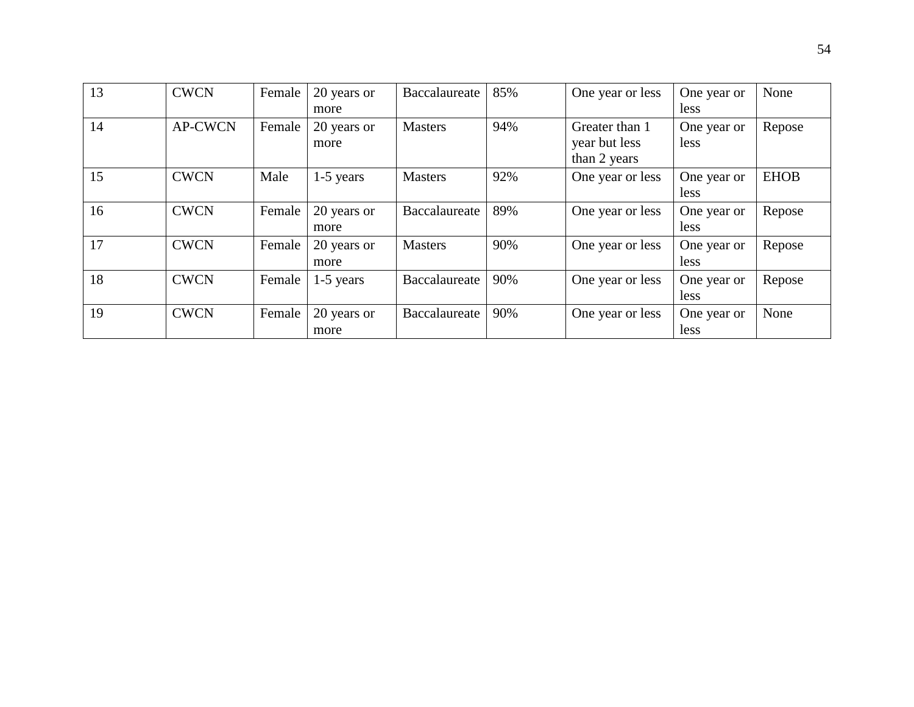| 13 | <b>CWCN</b>    | Female | 20 years or<br>more | Baccalaureate  | 85% | One year or less                                | One year or<br>less | None        |
|----|----------------|--------|---------------------|----------------|-----|-------------------------------------------------|---------------------|-------------|
| 14 | <b>AP-CWCN</b> | Female | 20 years or<br>more | <b>Masters</b> | 94% | Greater than 1<br>year but less<br>than 2 years | One year or<br>less | Repose      |
| 15 | <b>CWCN</b>    | Male   | $1-5$ years         | <b>Masters</b> | 92% | One year or less                                | One year or<br>less | <b>EHOB</b> |
| 16 | <b>CWCN</b>    | Female | 20 years or<br>more | Baccalaureate  | 89% | One year or less                                | One year or<br>less | Repose      |
| 17 | <b>CWCN</b>    | Female | 20 years or<br>more | <b>Masters</b> | 90% | One year or less                                | One year or<br>less | Repose      |
| 18 | <b>CWCN</b>    | Female | $1-5$ years         | Baccalaureate  | 90% | One year or less                                | One year or<br>less | Repose      |
| 19 | <b>CWCN</b>    | Female | 20 years or<br>more | Baccalaureate  | 90% | One year or less                                | One year or<br>less | None        |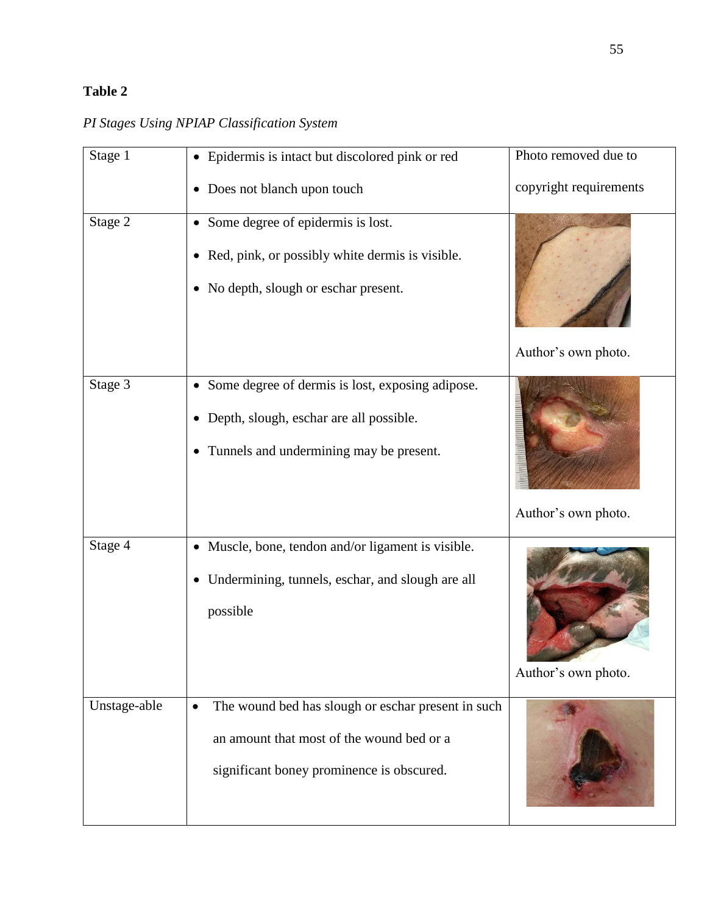## **Table 2**

|  |  | PI Stages Using NPIAP Classification System |  |
|--|--|---------------------------------------------|--|
|  |  |                                             |  |

| Stage 1      | • Epidermis is intact but discolored pink or red                                                                                                          | Photo removed due to   |
|--------------|-----------------------------------------------------------------------------------------------------------------------------------------------------------|------------------------|
|              | Does not blanch upon touch<br>$\bullet$                                                                                                                   | copyright requirements |
| Stage 2      | • Some degree of epidermis is lost.<br>• Red, pink, or possibly white dermis is visible.<br>• No depth, slough or eschar present.                         | Author's own photo.    |
| Stage 3      | • Some degree of dermis is lost, exposing adipose.<br>Depth, slough, eschar are all possible.<br>$\bullet$<br>• Tunnels and undermining may be present.   | Author's own photo.    |
| Stage 4      | • Muscle, bone, tendon and/or ligament is visible.<br>Undermining, tunnels, eschar, and slough are all<br>$\bullet$<br>possible                           | Author's own photo.    |
| Unstage-able | The wound bed has slough or eschar present in such<br>$\bullet$<br>an amount that most of the wound bed or a<br>significant boney prominence is obscured. |                        |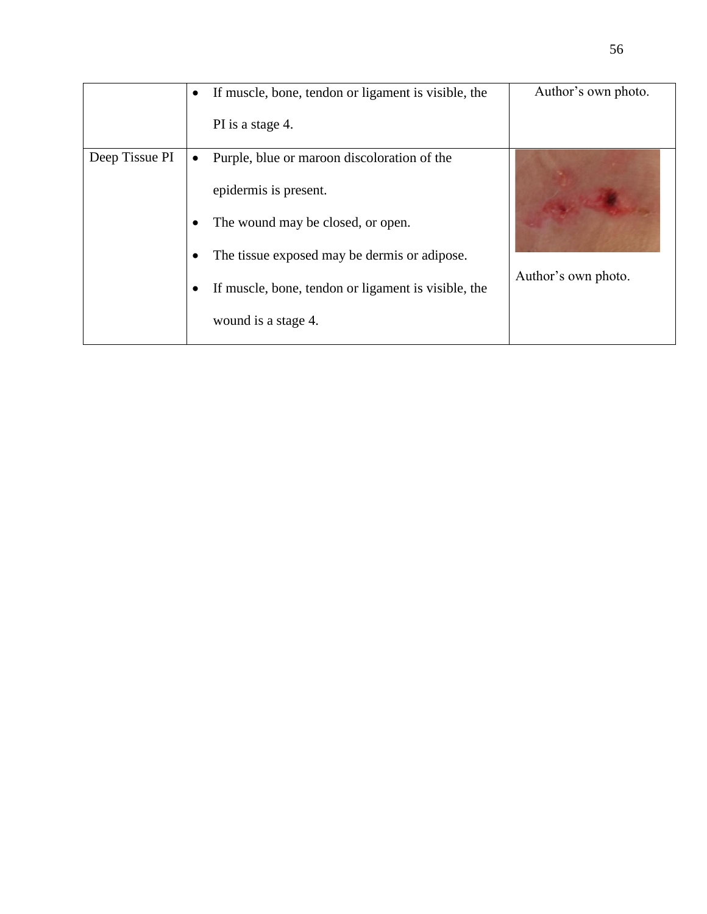|                | If muscle, bone, tendon or ligament is visible, the<br>$\bullet$<br>PI is a stage 4.                                                                                                                                                                 | Author's own photo. |
|----------------|------------------------------------------------------------------------------------------------------------------------------------------------------------------------------------------------------------------------------------------------------|---------------------|
| Deep Tissue PI | Purple, blue or maroon discoloration of the<br>$\bullet$<br>epidermis is present.<br>The wound may be closed, or open.<br>The tissue exposed may be dermis or adipose.<br>If muscle, bone, tendon or ligament is visible, the<br>wound is a stage 4. | Author's own photo. |

56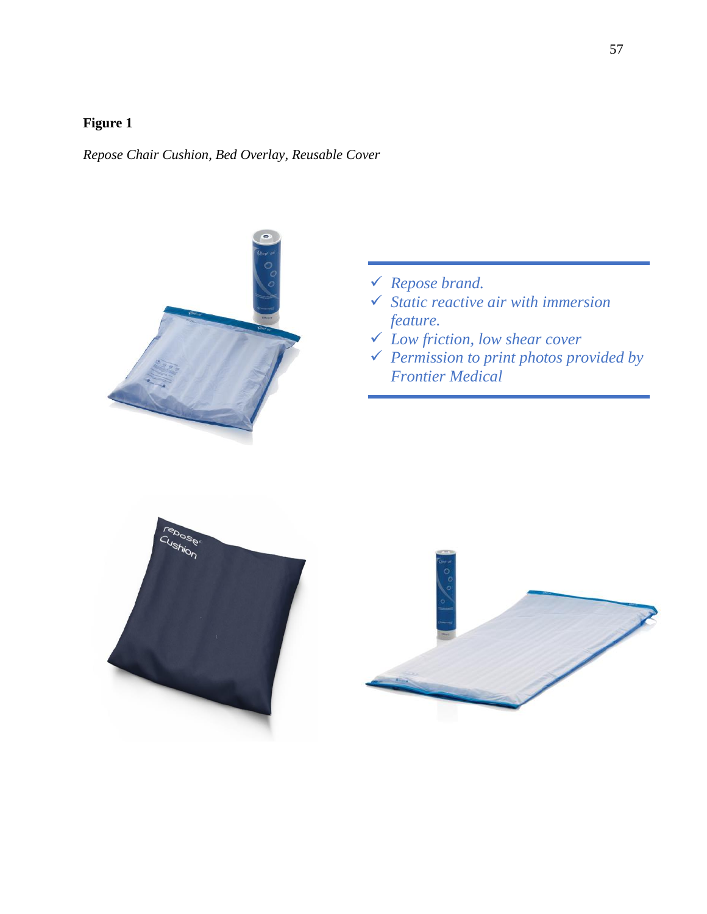*Repose Chair Cushion, Bed Overlay, Reusable Cover*



- *Repose brand.*
- *Static reactive air with immersion feature.*
- *Low friction, low shear cover*
- *Permission to print photos provided by Frontier Medical*



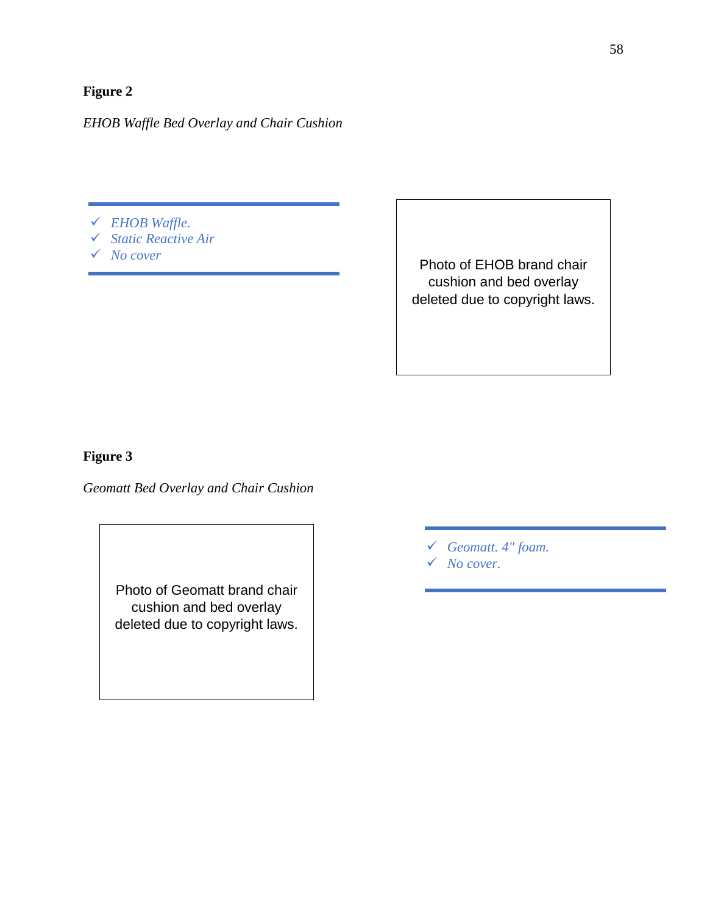*EHOB Waffle Bed Overlay and Chair Cushion*

- *EHOB Waffle.*
- *Static Reactive Air*
- *No cover*

Photo of EHOB brand chair cushion and bed overlay deleted due to copyright laws.

### **Figure 3**

*Geomatt Bed Overlay and Chair Cushion* 

Photo of Geomatt brand chair cushion and bed overlay deleted due to copyright laws.

*Geomatt. 4" foam.* 

*No cover.*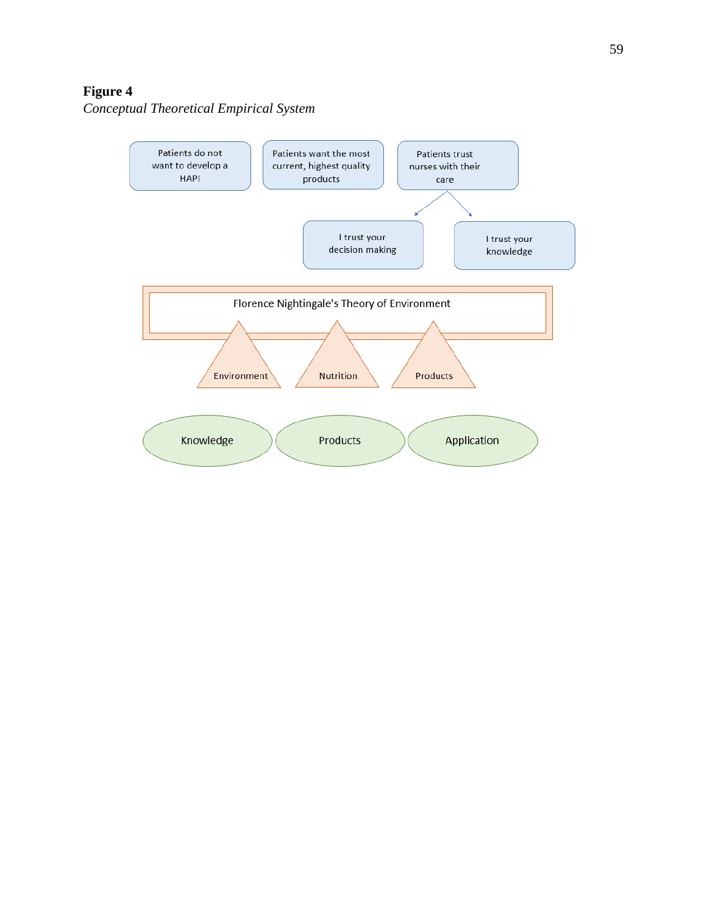*Conceptual Theoretical Empirical System*

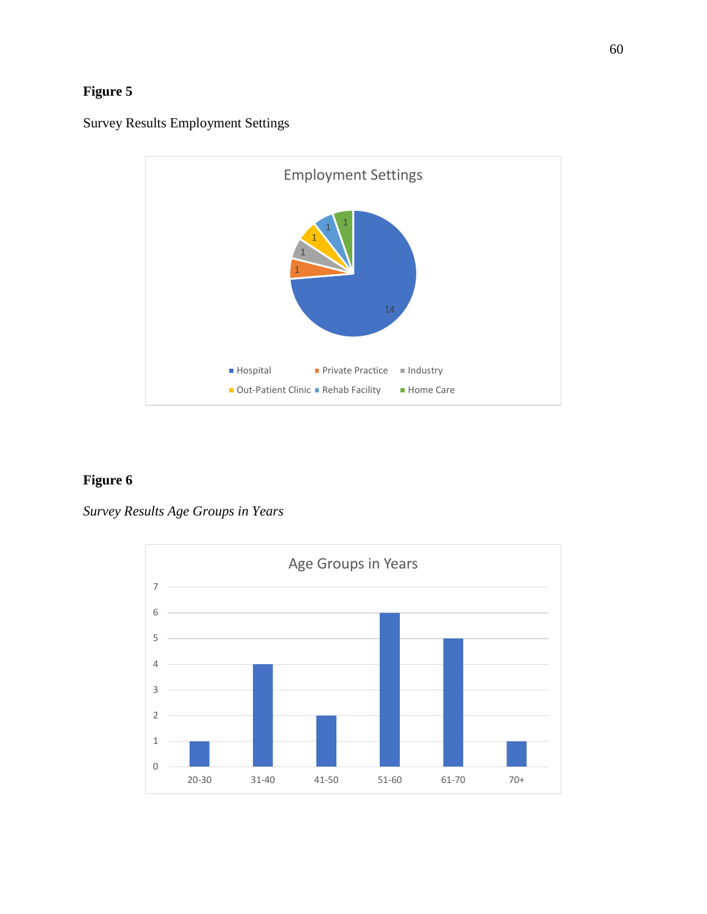



*Survey Results Age Groups in Years*

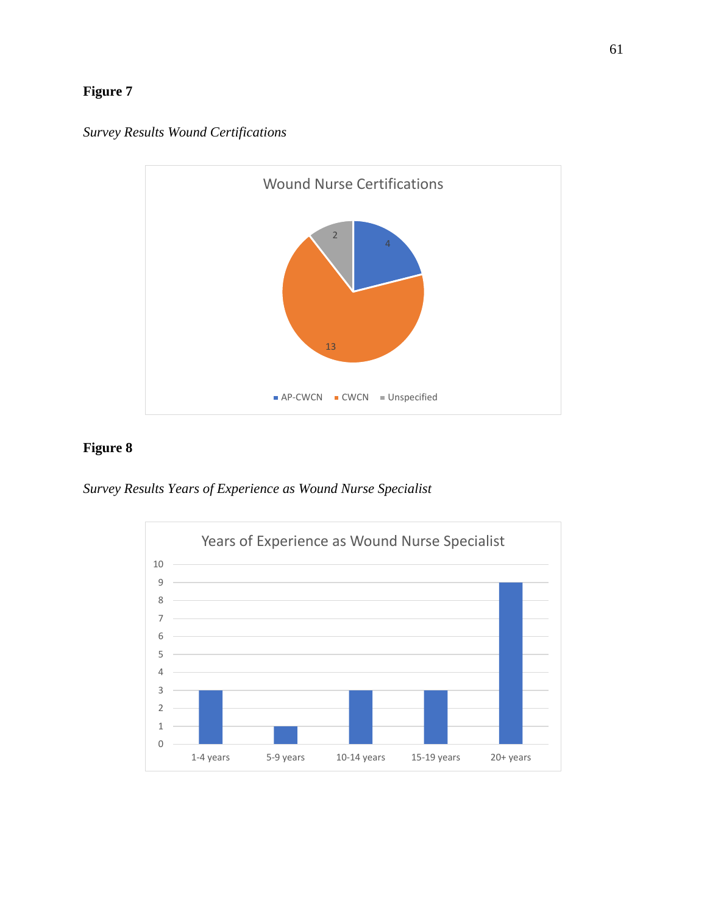

*Survey Results Wound Certifications*

*Survey Results Years of Experience as Wound Nurse Specialist*

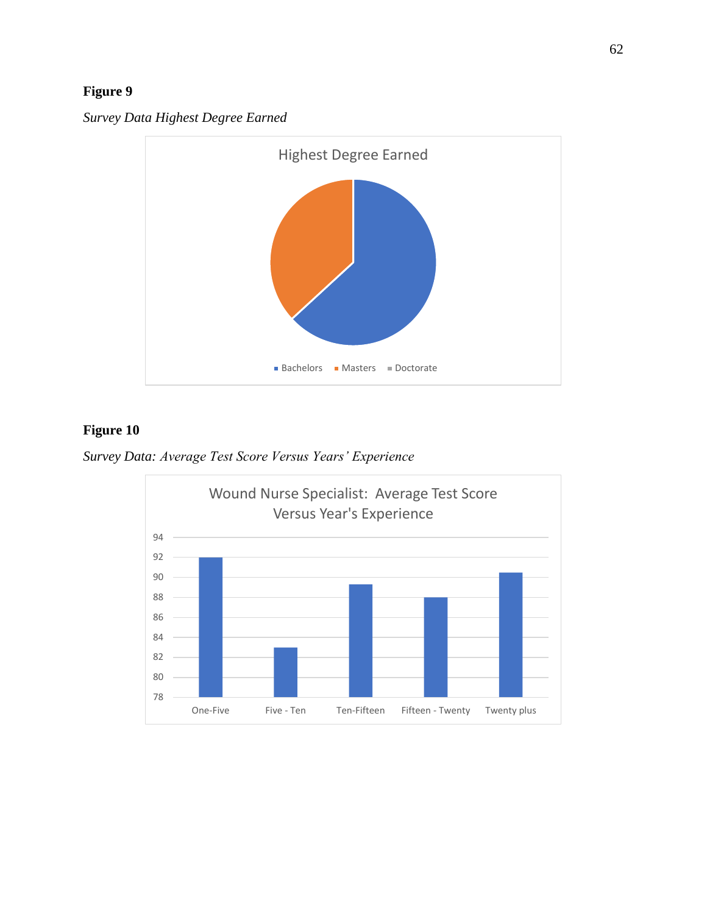

*Survey Data Highest Degree Earned*

*Survey Data: Average Test Score Versus Years' Experience*